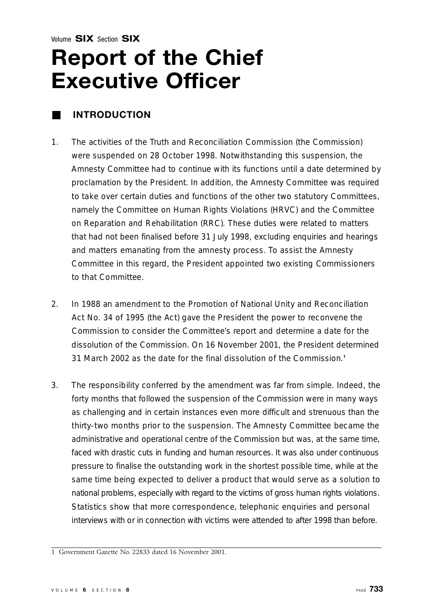### <span id="page-0-0"></span>**Report of the Chief Executive Officer**

### ■ **I N T R O D U C T I O N**

- 1. The activities of the Truth and Reconciliation Commission (the Commission) were suspended on 28 October 1998. Notwithstanding this suspension, the Amnesty Committee had to continue with its functions until a date determined by proclamation by the President. In addition, the Amnesty Committee was required to take over certain duties and functions of the other two statutory Committees, namely the Committee on Human Rights Violations (HRVC) and the Committee on Reparation and Rehabilitation (RRC). These duties were related to matters that had not been finalised before 31 July 1998, excluding enquiries and hearings and matters emanating from the amnesty process. To assist the Amnesty Committee in this regard, the President appointed two existing Commissioners to that Committee.
- 2. In 1988 an amendment to the Promotion of National Unity and Reconciliation Act No. 34 of 1995 (the Act) gave the President the power to reconvene the Commission to consider the Committee's report and determine a date for the dissolution of the Commission. On 16 November 2001, the President determined 31 March 2002 as the date for the final dissolution of the Commission.**<sup>1</sup>**
- 3. The responsibility conferred by the amendment was far from simple. Indeed, the forty months that followed the suspension of the Commission were in many ways as challenging and in certain instances even more difficult and strenuous than the thirty-two months prior to the suspension. The Amnesty Committee became the administrative and operational centre of the Commission but was, at the same time, faced with drastic cuts in funding and human resources. It was also under continuous pressure to finalise the outstanding work in the shortest possible time, while at the same time being expected to deliver a product that would serve as a solution to national problems, especially with regard to the victims of gross human rights violations. Statistics show that more correspondence, telephonic enquiries and personal interviews with or in connection with victims were attended to after 1998 than before.

<sup>1</sup> Government Gazette No. 22833 dated 16 November 2001.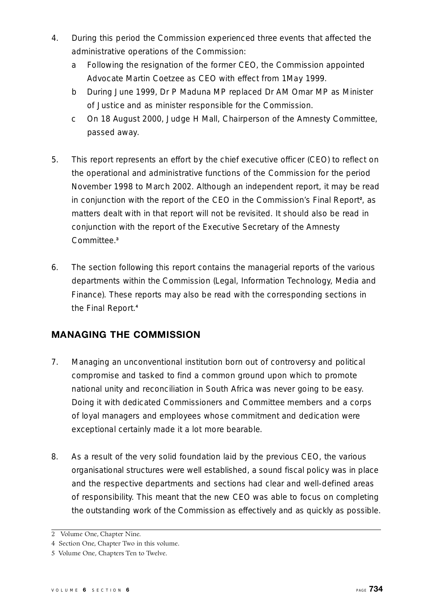- <span id="page-1-0"></span>4. During this period the Commission experienced three events that affected the administrative operations of the Commission:
	- a Following the resignation of the former CEO, the Commission appointed Advocate Martin Coetzee as CEO with effect from 1May 1999.
	- b During June 1999, Dr P Maduna MP replaced Dr AM Omar MP as Minister of Justice and as minister responsible for the Commission.
	- c On 18 August 2000, Judge H Mall, Chairperson of the Amnesty Committee, passed away.
- 5. This report represents an effort by the chief executive officer (CEO) to reflect on the operational and administrative functions of the Commission for the period November 1998 to March 2002. Although an independent report, it may be read in conjunction with the report of the CEO in the Commission's Final Report**<sup>2</sup>** , as matters dealt with in that report will not be revisited. It should also be read in conjunction with the report of the Executive Secretary of the Amnesty Committee.<sup>3</sup>
- 6. The section following this report contains the managerial reports of the various departments within the Commission (Legal, Information Technology, Media and Finance). These reports may also be read with the corresponding sections in the Final Report.**<sup>4</sup>**

### **MANAGING THE COMMISSION**

- 7. Managing an unconventional institution born out of controversy and political compromise and tasked to find a common ground upon which to promote national unity and reconciliation in South Africa was never going to be easy. Doing it with dedicated Commissioners and Committee members and a corps of loyal managers and employees whose commitment and dedication were exceptional certainly made it a lot more bearable.
- 8. As a result of the very solid foundation laid by the previous CEO, the various o rganisational structures were well established, a sound fiscal policy was in place and the respective departments and sections had clear and well-defined areas of responsibility. This meant that the new CEO was able to focus on completing the outstanding work of the Commission as effectively and as quickly as possible.

<sup>2</sup> Volume One, Chapter Nine.

<sup>4</sup> Section One, Chapter Two in this volume.

<sup>5</sup> Volume One, Chapters Ten to Twelve.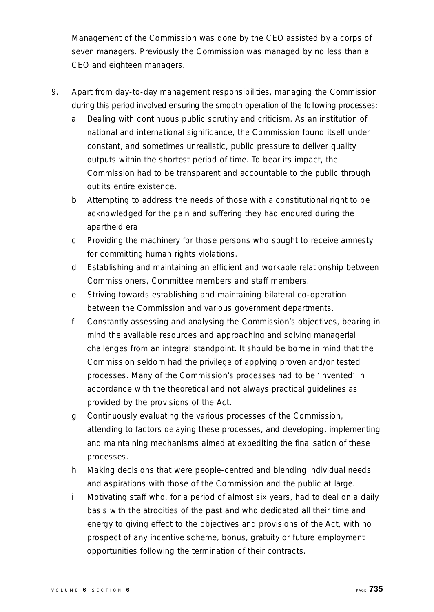Management of the Commission was done by the CEO assisted by a corps of seven managers. Previously the Commission was managed by no less than a CEO and eighteen managers.

- 9. Apart from day-to-day management responsibilities, managing the Commission during this period involved ensuring the smooth operation of the following processes:
	- a Dealing with continuous public scrutiny and criticism. As an institution of national and international significance, the Commission found itself under constant, and sometimes unrealistic, public pressure to deliver quality outputs within the shortest period of time. To bear its impact, the Commission had to be transparent and accountable to the public through out its entire existence.
	- b Attempting to address the needs of those with a constitutional right to be acknowledged for the pain and suffering they had endured during the apartheid era.
	- c Providing the machinery for those persons who sought to receive amnesty for committing human rights violations.
	- d Establishing and maintaining an efficient and workable relationship between Commissioners, Committee members and staff members.
	- e Striving towards establishing and maintaining bilateral co-operation between the Commission and various government departments.
	- f Constantly assessing and analysing the Commission's objectives, bearing in mind the available resources and approaching and solving managerial challenges from an integral standpoint. It should be borne in mind that the Commission seldom had the privilege of applying proven and/or tested p rocesses. Many of the Commission's processes had to be 'invented' in accordance with the theoretical and not always practical guidelines as provided by the provisions of the Act.
	- g Continuously evaluating the various processes of the Commission, attending to factors delaying these processes, and developing, implementing and maintaining mechanisms aimed at expediting the finalisation of these processes.
	- h Making decisions that were people-centred and blending individual needs and aspirations with those of the Commission and the public at large.
	- i Motivating staff who, for a period of almost six years, had to deal on a daily basis with the atrocities of the past and who dedicated all their time and energy to giving effect to the objectives and provisions of the Act, with no p rospect of any incentive scheme, bonus, gratuity or future employment opportunities following the termination of their contracts.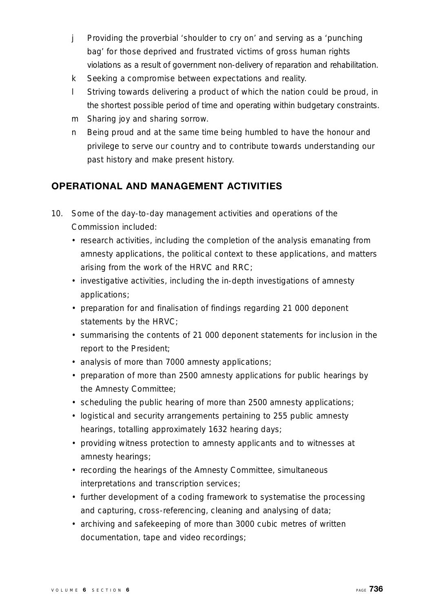- j Providing the proverbial 'shoulder to cry on' and serving as a 'punching' bag' for those deprived and frustrated victims of gross human rights violations as a result of government non-delivery of reparation and rehabilitation.
- k Seeking a compromise between expectations and reality.
- l Striving towards delivering a product of which the nation could be proud, in the shortest possible period of time and operating within budgetary constraints.
- m Sharing joy and sharing sorrow.
- n Being proud and at the same time being humbled to have the honour and privilege to serve our country and to contribute towards understanding our past history and make present history.

### **OPERATIONAL AND MANAGEMENT ACTIVITIES**

- 10. Some of the day-to-day management activities and operations of the Commission included:
	- research activities, including the completion of the analysis emanating from amnesty applications, the political context to these applications, and matters arising from the work of the HRVC and RRC;
	- investigative activities, including the in-depth investigations of amnesty applications;
	- preparation for and finalisation of findings regarding 21 000 deponent statements by the HRVC;
	- summarising the contents of 21 000 deponent statements for inclusion in the report to the President;
	- analysis of more than 7000 amnesty applications;
	- preparation of more than 2500 amnesty applications for public hearings by the Amnesty Committee;
	- scheduling the public hearing of more than 2500 amnesty applications;
	- logistical and security arrangements pertaining to 255 public amnesty hearings, totalling approximately 1632 hearing days;
	- providing witness protection to amnesty applicants and to witnesses at amnesty hearings;
	- recording the hearings of the Amnesty Committee, simultaneous interpretations and transcription services;
	- further development of a coding framework to systematise the processing and capturing, cross-referencing, cleaning and analysing of data;
	- archiving and safekeeping of more than 3000 cubic metres of written documentation, tape and video recordings;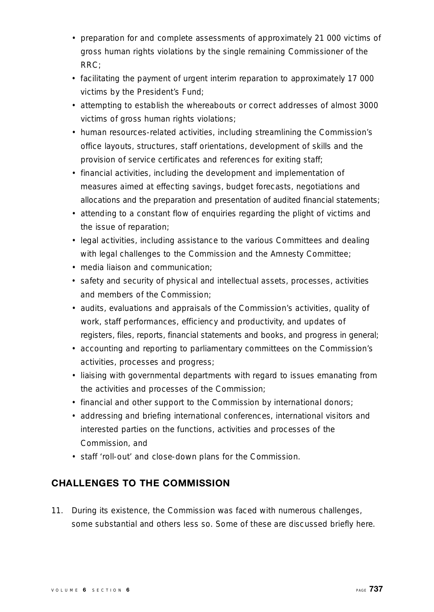- preparation for and complete assessments of approximately 21 000 victims of gross human rights violations by the single remaining Commissioner of the  $RRC$ ;
- facilitating the payment of urgent interim reparation to approximately 17 000 victims by the President's Fund;
- attempting to establish the whereabouts or correct addresses of almost 3000 victims of gross human rights violations;
- human resources-related activities, including streamlining the Commission's office layouts, structures, staff orientations, development of skills and the provision of service certificates and references for exiting staff;
- financial activities, including the development and implementation of measures aimed at effecting savings, budget forecasts, negotiations and allocations and the preparation and presentation of audited financial statements;
- attending to a constant flow of enquiries regarding the plight of victims and the issue of reparation;
- legal activities, including assistance to the various Committees and dealing with legal challenges to the Commission and the Amnesty Committee;
- media liaison and communication;
- safety and security of physical and intellectual assets, processes, activities and members of the Commission;
- audits, evaluations and appraisals of the Commission's activities, quality of work, staff performances, efficiency and productivity, and updates of registers, files, reports, financial statements and books, and progress in general;
- accounting and reporting to parliamentary committees on the Commission's activities, processes and progress;
- liaising with governmental departments with regard to issues emanating from the activities and processes of the Commission;
- financial and other support to the Commission by international donors;
- addressing and briefing international conferences, international visitors and interested parties on the functions, activities and processes of the Commission, and
- staff 'roll-out' and close-down plans for the Commission.

### **CHALLENGES TO THE COMMISSION**

11. During its existence, the Commission was faced with numerous challenges, some substantial and others less so. Some of these are discussed briefly here.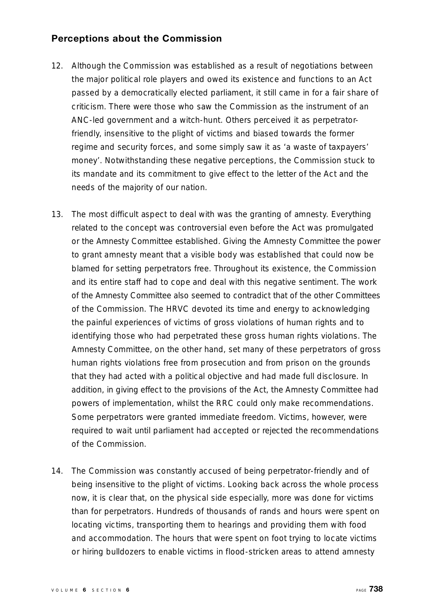### **Perceptions about the Commission**

- 12. Although the Commission was established as a result of negotiations between the major political role players and owed its existence and functions to an Act passed by a democratically elected parliament, it still came in for a fair share of criticism. There were those who saw the Commission as the instrument of an ANC-led government and a witch-hunt. Others perceived it as perpetratorfriendly, insensitive to the plight of victims and biased towards the former regime and security forces, and some simply saw it as 'a waste of taxpayers' money'. Notwithstanding these negative perceptions, the Commission stuck to its mandate and its commitment to give effect to the letter of the Act and the needs of the majority of our nation.
- 13. The most difficult aspect to deal with was the granting of amnesty. Everything related to the concept was controversial even before the Act was promulgated or the Amnesty Committee established. Giving the Amnesty Committee the power to grant amnesty meant that a visible body was established that could now be blamed for setting perpetrators free. Throughout its existence, the Commission and its entire staff had to cope and deal with this negative sentiment. The work of the Amnesty Committee also seemed to contradict that of the other Committees of the Commission. The HRVC devoted its time and energy to acknowledging the painful experiences of victims of gross violations of human rights and to identifying those who had perpetrated these gross human rights violations. The Amnesty Committee, on the other hand, set many of these perpetrators of gross human rights violations free from prosecution and from prison on the grounds that they had acted with a political objective and had made full disclosure. In addition, in giving effect to the provisions of the Act, the Amnesty Committee had powers of implementation, whilst the RRC could only make recommendations. Some perpetrators were granted immediate freedom. Victims, however, were required to wait until parliament had accepted or rejected the recommendations of the Commission.
- 14. The Commission was constantly accused of being perpetrator-friendly and of being insensitive to the plight of victims. Looking back across the whole process now, it is clear that, on the physical side especially, more was done for victims than for perpetrators. Hundreds of thousands of rands and hours were spent on locating victims, transporting them to hearings and providing them with food and accommodation. The hours that were spent on foot trying to locate victims or hiring bulldozers to enable victims in flood-stricken areas to attend amnesty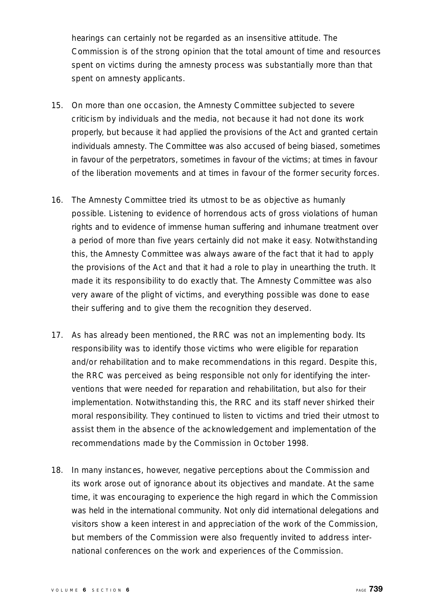hearings can certainly not be regarded as an insensitive attitude. The Commission is of the strong opinion that the total amount of time and resources spent on victims during the amnesty process was substantially more than that spent on amnesty applicants.

- 15. On more than one occasion, the Amnesty Committee subjected to severe criticism by individuals and the media, not because it had not done its work properly, but because it had applied the provisions of the Act and granted certain individuals amnesty. The Committee was also accused of being biased, sometimes in favour of the perpetrators, sometimes in favour of the victims; at times in favour of the liberation movements and at times in favour of the former security forces.
- 16. The Amnesty Committee tried its utmost to be as objective as humanly possible. Listening to evidence of horrendous acts of gross violations of human rights and to evidence of immense human suffering and inhumane treatment over a period of more than five years certainly did not make it easy. Notwithstanding this, the Amnesty Committee was always aware of the fact that it had to apply the provisions of the Act and that it had a role to play in unearthing the truth. It made it its responsibility to do exactly that. The Amnesty Committee was also very aware of the plight of victims, and everything possible was done to ease their suffering and to give them the recognition they deserved.
- 17. As has already been mentioned, the RRC was not an implementing body. Its responsibility was to identify those victims who were eligible for reparation and/or rehabilitation and to make recommendations in this regard. Despite this, the RRC was perceived as being responsible not only for identifying the interventions that were needed for reparation and rehabilitation, but also for their implementation. Notwithstanding this, the RRC and its staff never shirked their moral responsibility. They continued to listen to victims and tried their utmost to assist them in the absence of the acknowledgement and implementation of the recommendations made by the Commission in October 1998.
- 18. In many instances, however, negative perceptions about the Commission and its work arose out of ignorance about its objectives and mandate. At the same time, it was encouraging to experience the high regard in which the Commission was held in the international community. Not only did international delegations and visitors show a keen interest in and appreciation of the work of the Commission, but members of the Commission were also frequently invited to address international conferences on the work and experiences of the Commission.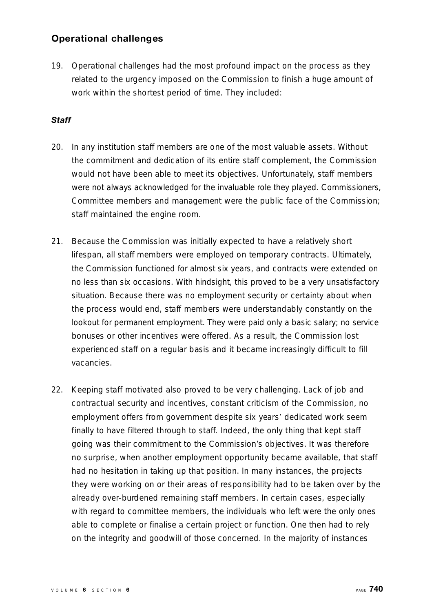### **Operational challenges**

19. Operational challenges had the most profound impact on the process as they related to the urgency imposed on the Commission to finish a huge amount of work within the shortest period of time. They included:

### Staff

- 20. In any institution staff members are one of the most valuable assets. Without the commitment and dedication of its entire staff complement, the Commission would not have been able to meet its objectives. Unfortunately, staff members were not always acknowledged for the invaluable role they played. Commissioners, Committee members and management were the public face of the Commission; staff maintained the engine room.
- 21. Because the Commission was initially expected to have a relatively short lifespan, all staff members were employed on temporary contracts. Ultimately, the Commission functioned for almost six years, and contracts were extended on no less than six occasions. With hindsight, this proved to be a very unsatisfactory situation. Because there was no employment security or certainty about when the process would end, staff members were understandably constantly on the lookout for permanent employment. They were paid only a basic salary; no service bonuses or other incentives were offered. As a result, the Commission lost experienced staff on a regular basis and it became increasingly difficult to fill vacancies.
- 22. Keeping staff motivated also proved to be very challenging. Lack of job and contractual security and incentives, constant criticism of the Commission, no employment offers from government despite six years' dedicated work seem finally to have filtered through to staff. Indeed, the only thing that kept staff going was their commitment to the Commission's objectives. It was therefore no surprise, when another employment opportunity became available, that staff had no hesitation in taking up that position. In many instances, the projects they were working on or their areas of responsibility had to be taken over by the already over-burdened remaining staff members. In certain cases, especially with regard to committee members, the individuals who left were the only ones able to complete or finalise a certain project or function. One then had to rely on the integrity and goodwill of those concerned. In the majority of instances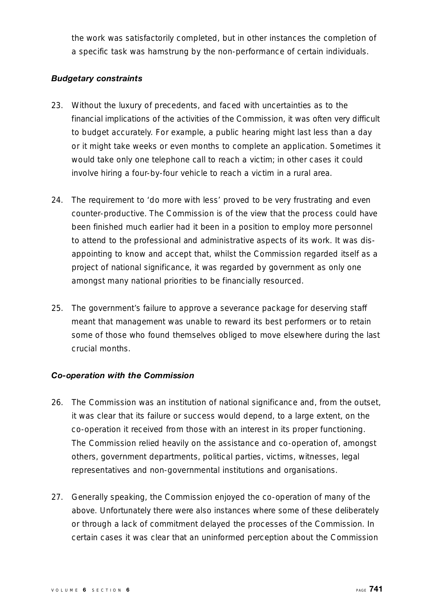the work was satisfactorily completed, but in other instances the completion of a specific task was hamstrung by the non-performance of certain individuals.

### **Budgetary constraints**

- 23. Without the luxury of precedents, and faced with uncertainties as to the financial implications of the activities of the Commission, it was often very difficult to budget accurately. For example, a public hearing might last less than a day or it might take weeks or even months to complete an application. Sometimes it would take only one telephone call to reach a victim; in other cases it could involve hiring a four-by-four vehicle to reach a victim in a rural area.
- 24. The requirement to 'do more with less' proved to be very frustrating and even counter-productive. The Commission is of the view that the process could have been finished much earlier had it been in a position to employ more personnel to attend to the professional and administrative aspects of its work. It was disappointing to know and accept that, whilst the Commission regarded itself as a project of national significance, it was regarded by government as only one amongst many national priorities to be financially resourced.
- 25. The government's failure to approve a severance package for deserving staff meant that management was unable to reward its best performers or to retain some of those who found themselves obliged to move elsewhere during the last crucial months.

### *Co-operation with the Commission*

- 26. The Commission was an institution of national significance and, from the outset, it was clear that its failure or success would depend, to a large extent, on the co-operation it received from those with an interest in its proper functioning. The Commission relied heavily on the assistance and co-operation of, amongst others, government departments, political parties, victims, witnesses, legal representatives and non-governmental institutions and organisations.
- 27. Generally speaking, the Commission enjoyed the co-operation of many of the above. Unfortunately there were also instances where some of these deliberately or through a lack of commitment delayed the processes of the Commission. In certain cases it was clear that an uninformed perception about the Commission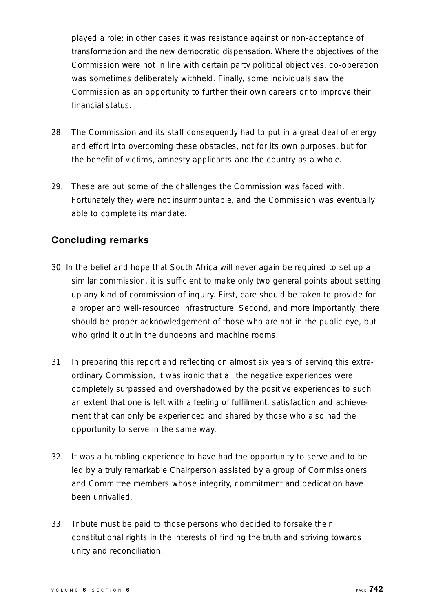played a role; in other cases it was resistance against or non-acceptance of transformation and the new democratic dispensation. Where the objectives of the Commission were not in line with certain party political objectives, co-operation was sometimes deliberately withheld. Finally, some individuals saw the Commission as an opportunity to further their own careers or to improve their financial status.

- 28. The Commission and its staff consequently had to put in a great deal of energy and effort into overcoming these obstacles, not for its own purposes, but for the benefit of victims, amnesty applicants and the country as a whole.
- 29. These are but some of the challenges the Commission was faced with. Fortunately they were not insurmountable, and the Commission was eventually able to complete its mandate.

### **Concluding remarks**

- 30. In the belief and hope that South Africa will never again be required to set up a similar commission, it is sufficient to make only two general points about setting up any kind of commission of inquiry. First, care should be taken to provide for a proper and well-resourced infrastructure. Second, and more importantly, there should be proper acknowledgement of those who are not in the public eye, but who grind it out in the dungeons and machine rooms.
- 31. In preparing this report and reflecting on almost six years of serving this extraordinary Commission, it was ironic that all the negative experiences were completely surpassed and overshadowed by the positive experiences to such an extent that one is left with a feeling of fulfilment, satisfaction and achievement that can only be experienced and shared by those who also had the opportunity to serve in the same way.
- 32. It was a humbling experience to have had the opportunity to serve and to be led by a truly remarkable Chairperson assisted by a group of Commissioners and Committee members whose integrity, commitment and dedication have been unrivalled.
- 33. Tribute must be paid to those persons who decided to forsake their constitutional rights in the interests of finding the truth and striving towards unity and reconciliation.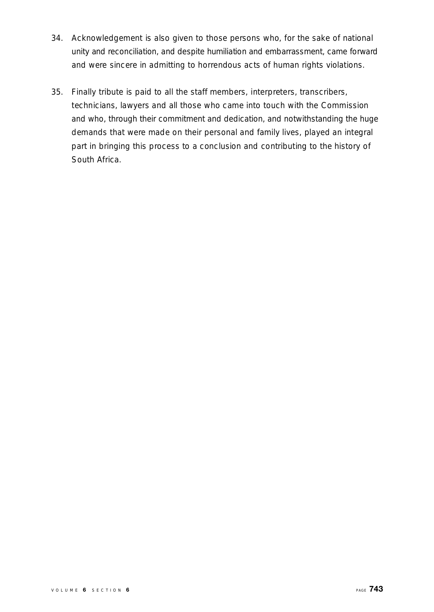- 34. Acknowledgement is also given to those persons who, for the sake of national unity and reconciliation, and despite humiliation and embarrassment, came forward and were sincere in admitting to horrendous acts of human rights violations.
- 35. Finally tribute is paid to all the staff members, interpreters, transcribers, technicians, lawyers and all those who came into touch with the Commission and who, through their commitment and dedication, and notwithstanding the huge demands that were made on their personal and family lives, played an integral part in bringing this process to a conclusion and contributing to the history of South Africa.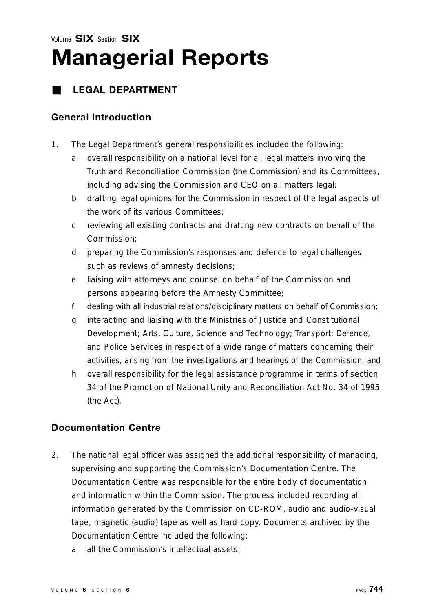### **LEGAL DEPARTMENT**

### **General introduction**

- 1. The Legal Department's general responsibilities included the following:
	- a overall responsibility on a national level for all legal matters involving the Truth and Reconciliation Commission (the Commission) and its Committees, including advising the Commission and CEO on all matters legal;
	- b drafting legal opinions for the Commission in respect of the legal aspects of the work of its various Committees;
	- c reviewing all existing contracts and drafting new contracts on behalf of the Commission;
	- d p reparing the Commission's responses and defence to legal challenges such as reviews of amnesty decisions;
	- e liaising with attorneys and counsel on behalf of the Commission and persons appearing before the Amnesty Committee;
	- f dealing with all industrial relations/disciplinary matters on behalf of Commission;
	- g interacting and liaising with the Ministries of Justice and Constitutional Development; Arts, Culture, Science and Technology; Transport; Defence, and Police Services in respect of a wide range of matters concerning their activities, arising from the investigations and hearings of the Commission, and
	- h overall responsibility for the legal assistance programme in terms of section 34 of the Promotion of National Unity and Reconciliation Act No. 34 of 1995 (the Act).

### **Documentation Centre**

- 2. The national legal officer was assigned the additional responsibility of managing, supervising and supporting the Commission's Documentation Centre. The Documentation Centre was responsible for the entire body of documentation and information within the Commission. The process included recording all information generated by the Commission on CD-ROM, audio and audio-visual tape, magnetic (audio) tape as well as hard copy. Documents archived by the Documentation Centre included the following:
	- a all the Commission's intellectual assets;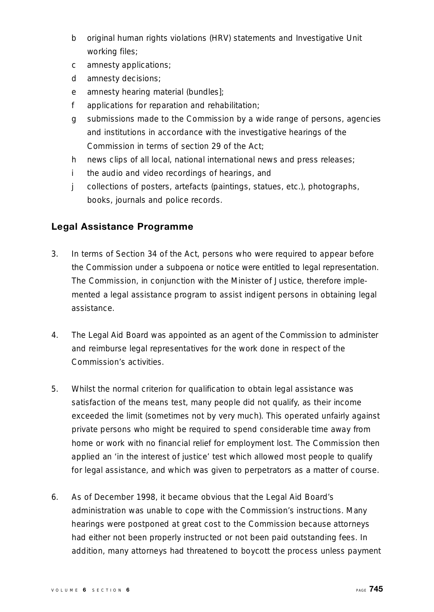- b original human rights violations (HRV) statements and Investigative Unit working files;
- c amnesty applications;
- d amnesty decisions;
- e amnesty hearing material (bundles];
- f applications for reparation and rehabilitation;
- g submissions made to the Commission by a wide range of persons, agencies and institutions in accordance with the investigative hearings of the Commission in terms of section 29 of the Act;
- h news clips of all local, national international news and press releases;
- i the audio and video recordings of hearings, and
- j collections of posters, artefacts (paintings, statues, etc.), photographs, books, journals and police records.

### **Legal Assistance Programme**

- 3. In terms of Section 34 of the Act, persons who were required to appear before the Commission under a subpoena or notice were entitled to legal representation. The Commission, in conjunction with the Minister of Justice, therefore implemented a legal assistance program to assist indigent persons in obtaining legal assistance.
- 4. The Legal Aid Board was appointed as an agent of the Commission to administer and reimburse legal representatives for the work done in respect of the Commission's activities.
- 5. Whilst the normal criterion for qualification to obtain legal assistance was satisfaction of the means test, many people did not qualify, as their income exceeded the limit (sometimes not by very much). This operated unfairly against private persons who might be required to spend considerable time away from home or work with no financial relief for employment lost. The Commission then applied an 'in the interest of justice' test which allowed most people to qualify for legal assistance, and which was given to perpetrators as a matter of course.
- 6. As of December 1998, it became obvious that the Legal Aid Board 's administration was unable to cope with the Commission's instructions. Many hearings were postponed at great cost to the Commission because attorneys had either not been properly instructed or not been paid outstanding fees. In addition, many attorneys had threatened to boycott the process unless payment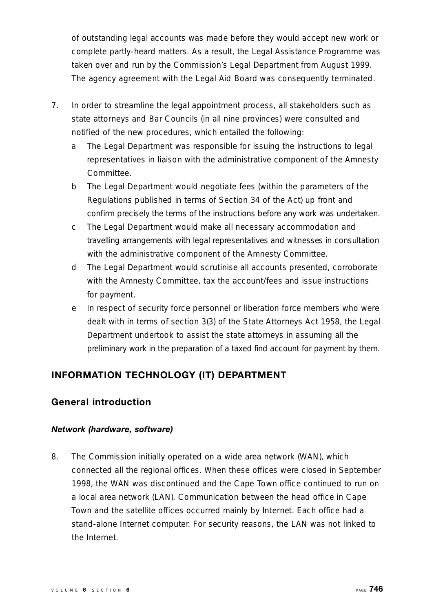of outstanding legal accounts was made before they would accept new work or complete partly-heard matters. As a result, the Legal Assistance Programme was taken over and run by the Commission's Legal Department from August 1999. The agency agreement with the Legal Aid Board was consequently terminated.

- 7. In order to streamline the legal appointment process, all stakeholders such as state attorneys and Bar Councils (in all nine provinces) were consulted and notified of the new procedures, which entailed the following:
	- a The Legal Department was responsible for issuing the instructions to legal representatives in liaison with the administrative component of the Amnesty Committee.
	- b The Legal Department would negotiate fees (within the parameters of the Regulations published in terms of Section 34 of the Act) up front and confirm precisely the terms of the instructions before any work was undertaken.
	- c The Legal Department would make all necessary accommodation and travelling arrangements with legal representatives and witnesses in consultation with the administrative component of the Amnesty Committee.
	- d The Legal Department would scrutinise all accounts presented, corroborate with the Amnesty Committee, tax the account/fees and issue instructions for payment.
	- e In respect of security force personnel or liberation force members who were dealt with in terms of section 3(3) of the State Attorneys Act 1958, the Legal Department undertook to assist the state attorneys in assuming all the p reliminary work in the preparation of a taxed find account for payment by them.

### **INFORMATION TECHNOLOGY (IT) DEPARTMENT**

### **General introduction**

### *Network (hardware, software)*

8. The Commission initially operated on a wide area network (WAN), which connected all the regional offices. When these offices were closed in September 1998, the WAN was discontinued and the Cape Town office continued to run on a local area network (LAN). Communication between the head office in Cape Town and the satellite offices occurred mainly by Internet. Each office had a stand-alone Internet computer. For security reasons, the LAN was not linked to the Internet.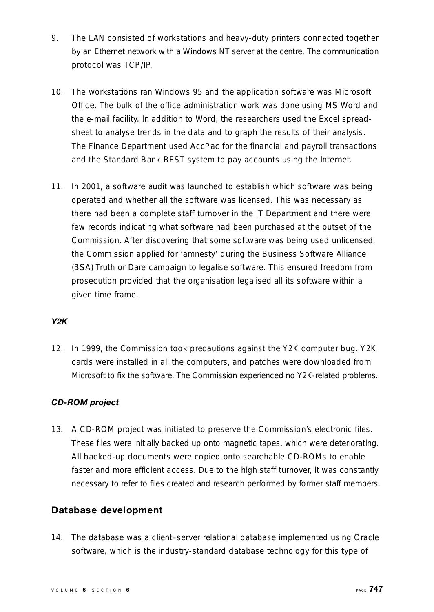- 9. The LAN consisted of workstations and heavy-duty printers connected together by an Ethernet network with a Windows NT server at the centre. The communication protocol was TCP/IP.
- 10. The workstations ran Windows 95 and the application software was Microsoft Office. The bulk of the office administration work was done using MS Word and the e-mail facility. In addition to Word, the researchers used the Excel spreadsheet to analyse trends in the data and to graph the results of their analysis. The Finance Department used AccPac for the financial and payroll transactions and the Standard Bank BEST system to pay accounts using the Internet.
- 11. In 2001, a software audit was launched to establish which software was being operated and whether all the software was licensed. This was necessary as there had been a complete staff turnover in the IT Department and there were few records indicating what software had been purchased at the outset of the Commission. After discovering that some software was being used unlicensed, the Commission applied for 'amnesty' during the Business Software Alliance (BSA) Truth or Dare campaign to legalise software. This ensured freedom from p rosecution provided that the organisation legalised all its software within a given time frame.

### *Y 2 K*

12. In 1999, the Commission took precautions against the Y2K computer bug. Y2K cards were installed in all the computers, and patches were downloaded from Microsoft to fix the software. The Commission experienced no Y2K-related problems.

### *CD-ROM project*

13. A CD-ROM project was initiated to preserve the Commission's electronic files. These files were initially backed up onto magnetic tapes, which were deteriorating. All backed-up documents were copied onto searchable CD-ROMs to enable faster and more efficient access. Due to the high staff turnover, it was constantly necessary to refer to files created and research performed by former staff members.

### **Database development**

14. The database was a client–server relational database implemented using Oracle software, which is the industry-standard database technology for this type of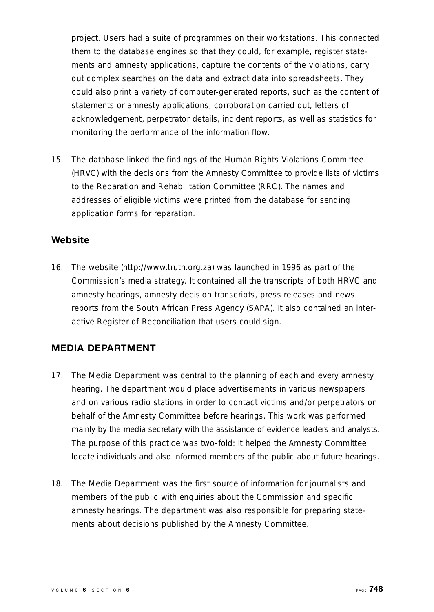p roject. Users had a suite of programmes on their workstations. This connected them to the database engines so that they could, for example, register statements and amnesty applications, capture the contents of the violations, carry out complex searches on the data and extract data into spreadsheets. They could also print a variety of computer-generated reports, such as the content of statements or amnesty applications, corroboration carried out, letters of acknowledgement, perpetrator details, incident reports, as well as statistics for monitoring the performance of the information flow.

15. The database linked the findings of the Human Rights Violations Committee (HRVC) with the decisions from the Amnesty Committee to provide lists of victims to the Reparation and Rehabilitation Committee (RRC). The names and addresses of eligible victims were printed from the database for sending application forms for reparation.

### **Website**

16. The website (http://www.truth.org.za) was launched in 1996 as part of the Commission's media strategy. It contained all the transcripts of both HRVC and amnesty hearings, amnesty decision transcripts, press releases and news reports from the South African Press Agency (SAPA). It also contained an interactive Register of Reconciliation that users could sign.

### **MEDIA DEPARTMENT**

- 17. The Media Department was central to the planning of each and every amnesty hearing. The department would place advertisements in various newspapers and on various radio stations in order to contact victims and/or perpetrators on behalf of the Amnesty Committee before hearings. This work was performed mainly by the media secretary with the assistance of evidence leaders and analysts. The purpose of this practice was two-fold: it helped the Amnesty Committee locate individuals and also informed members of the public about future hearings.
- 18. The Media Department was the first source of information for journalists and members of the public with enquiries about the Commission and specific amnesty hearings. The department was also responsible for preparing statements about decisions published by the Amnesty Committee.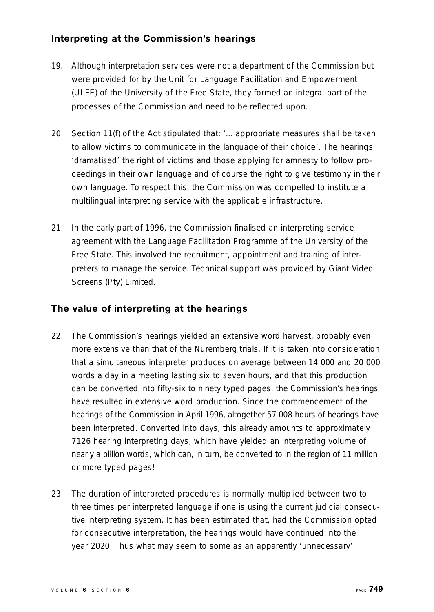### **Interpreting at the Commission's hearings**

- 19. Although interpretation services were not a department of the Commission but were provided for by the Unit for Language Facilitation and Empowerment (ULFE) of the University of the Free State, they formed an integral part of the p rocesses of the Commission and need to be reflected upon.
- 20. Section 11(f) of the Act stipulated that: '... appropriate measures shall be taken to allow victims to communicate in the language of their choice'. The hearings 'dramatised' the right of victims and those applying for amnesty to follow proceedings in their own language and of course the right to give testimony in their own language. To respect this, the Commission was compelled to institute a multilingual interpreting service with the applicable infrastructure .
- 21. In the early part of 1996, the Commission finalised an interpreting service agreement with the Language Facilitation Programme of the University of the F ree State. This involved the recruitment, appointment and training of interpreters to manage the service. Technical support was provided by Giant Video Screens (Pty) Limited.

### **The value of interpreting at the hearings**

- 22. The Commission's hearings yielded an extensive word harvest, probably even more extensive than that of the Nuremberg trials. If it is taken into consideration that a simultaneous interpreter produces on average between 14 000 and 20 000 words a day in a meeting lasting six to seven hours, and that this production can be converted into fifty-six to ninety typed pages, the Commission's hearings have resulted in extensive word production. Since the commencement of the hearings of the Commission in April 1996, altogether 57 008 hours of hearings have been interpreted. Converted into days, this already amounts to approximately 7126 hearing interpreting days, which have yielded an interpreting volume of nearly a billion words, which can, in turn, be converted to in the region of 11 million or more typed pages!
- 23. The duration of interpreted procedures is normally multiplied between two to three times per interpreted language if one is using the current judicial consecutive interpreting system. It has been estimated that, had the Commission opted for consecutive interpretation, the hearings would have continued into the year 2020. Thus what may seem to some as an apparently 'unnecessary'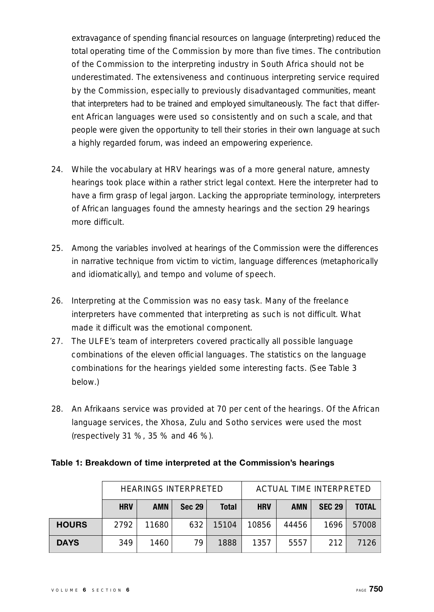extravagance of spending financial resources on language (interpreting) reduced the total operating time of the Commission by more than five times. The contribution of the Commission to the interpreting industry in South Africa should not be underestimated. The extensiveness and continuous interpreting service required by the Commission, especially to previously disadvantaged communities, meant that interpreters had to be trained and employed simultaneously. The fact that different African languages were used so consistently and on such a scale, and that people were given the opportunity to tell their stories in their own language at such a highly regarded forum, was indeed an empowering experience.

- 24. While the vocabulary at HRV hearings was of a more general nature, amnesty hearings took place within a rather strict legal context. Here the interpreter had to have a firm grasp of legal jargon. Lacking the appropriate terminology, interpreters of African languages found the amnesty hearings and the section 29 hearings more difficult.
- 25. Among the variables involved at hearings of the Commission were the differences in narrative technique from victim to victim, language differences (metaphorically and idiomatically), and tempo and volume of speech.
- 26. Interpreting at the Commission was no easy task. Many of the freelance interpreters have commented that interpreting as such is not difficult. What made it difficult was the emotional component.
- 27. The ULFE's team of interpreters covered practically all possible language combinations of the eleven official languages. The statistics on the language combinations for the hearings yielded some interesting facts. (See Table 3 below.)
- 28. An Afrikaans service was provided at 70 per cent of the hearings. Of the African language services, the Xhosa, Zulu and Sotho services were used the most ( respectively 31 %, 35 % and 46 %).

### **Table 1: Breakdown of time interpreted at the Commission's hearings**

|              |            | <b>HEARINGS INTERPRETED</b> |               |              |            |            | ACTUAL TIME INTERPRETED |              |
|--------------|------------|-----------------------------|---------------|--------------|------------|------------|-------------------------|--------------|
|              | <b>HRV</b> | <b>AMN</b>                  | <b>Sec 29</b> | <b>Total</b> | <b>HRV</b> | <b>AMN</b> | <b>SEC 29</b>           | <b>TOTAL</b> |
| <b>HOURS</b> | 2792       | 11680                       | 632           | 15104        | 10856      | 44456      | 1696                    | 57008        |
| <b>DAYS</b>  | 349        | 1460                        | 79            | 1888         | 1357       | 5557       | 212                     | 7126         |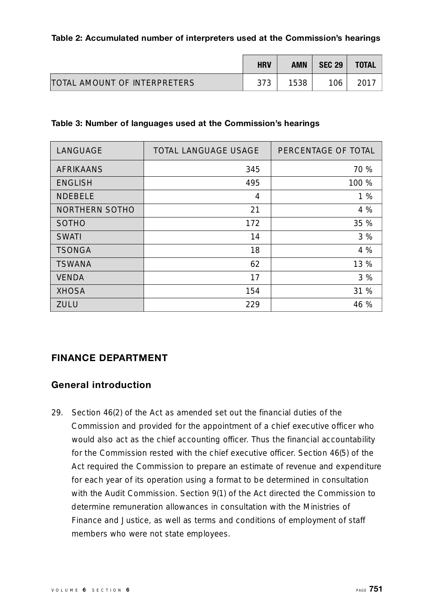### **Table 2: Accumulated number of interpreters used at the Commission's hearings**

|                                     | <b>HRV</b> | AMN  | <b>SEC 29</b> | <b>TOTAL</b> |
|-------------------------------------|------------|------|---------------|--------------|
| <b>TOTAL AMOUNT OF INTERPRETERS</b> | 373        | 1538 | 106           | 2017         |

### **Table 3: Number of languages used at the Commission's hearings**

| LANGUAGE         | <b>TOTAL LANGUAGE USAGE</b> | PERCENTAGE OF TOTAL |
|------------------|-----------------------------|---------------------|
| <b>AFRIKAANS</b> | 345                         | 70 %                |
| <b>ENGLISH</b>   | 495                         | 100 %               |
| <b>NDEBELE</b>   | 4                           | 1%                  |
| NORTHERN SOTHO   | 21                          | 4 %                 |
| <b>SOTHO</b>     | 172                         | 35 %                |
| <b>SWATI</b>     | 14                          | 3%                  |
| <b>TSONGA</b>    | 18                          | 4 %                 |
| <b>TSWANA</b>    | 62                          | 13 %                |
| <b>VENDA</b>     | 17                          | 3%                  |
| <b>XHOSA</b>     | 154                         | 31 %                |
| ZULU             | 229                         | 46 %                |

### **FINANCE DEPARTMENT**

### **General introduction**

29. Section 46(2) of the Act as amended set out the financial duties of the Commission and provided for the appointment of a chief executive officer who would also act as the chief accounting officer. Thus the financial accountability for the Commission rested with the chief executive officer. Section 46(5) of the Act required the Commission to prepare an estimate of revenue and expenditure for each year of its operation using a format to be determined in consultation with the Audit Commission. Section 9(1) of the Act directed the Commission to determine remuneration allowances in consultation with the Ministries of Finance and Justice, as well as terms and conditions of employment of staff members who were not state employees.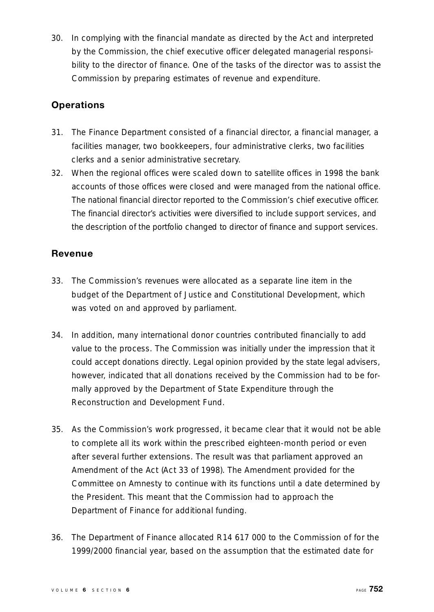30. In complying with the financial mandate as directed by the Act and interpreted by the Commission, the chief executive officer delegated managerial responsibility to the director of finance. One of the tasks of the director was to assist the Commission by preparing estimates of revenue and expenditure .

### **Operations**

- 31. The Finance Department consisted of a financial director, a financial manager, a facilities manager, two bookkeepers, four administrative clerks, two facilities clerks and a senior administrative secretary.
- 32. When the regional offices were scaled down to satellite offices in 1998 the bank accounts of those offices were closed and were managed from the national office. The national financial director reported to the Commission's chief executive officer. The financial director's activities were diversified to include support services, and the description of the portfolio changed to director of finance and support services.

### **Revenue**

- 33. The Commission's revenues were allocated as a separate line item in the budget of the Department of Justice and Constitutional Development, which was voted on and approved by parliament.
- 34. In addition, many international donor countries contributed financially to add value to the process. The Commission was initially under the impression that it could accept donations directly. Legal opinion provided by the state legal advisers, however, indicated that all donations received by the Commission had to be formally approved by the Department of State Expenditure through the Reconstruction and Development Fund.
- 35. As the Commission's work progressed, it became clear that it would not be able to complete all its work within the prescribed eighteen-month period or even after several further extensions. The result was that parliament approved an Amendment of the Act (Act 33 of 1998). The Amendment provided for the Committee on Amnesty to continue with its functions until a date determined by the President. This meant that the Commission had to approach the Department of Finance for additional funding.
- 36. The Department of Finance allocated R14 617 000 to the Commission of for the 1999/2000 financial year, based on the assumption that the estimated date for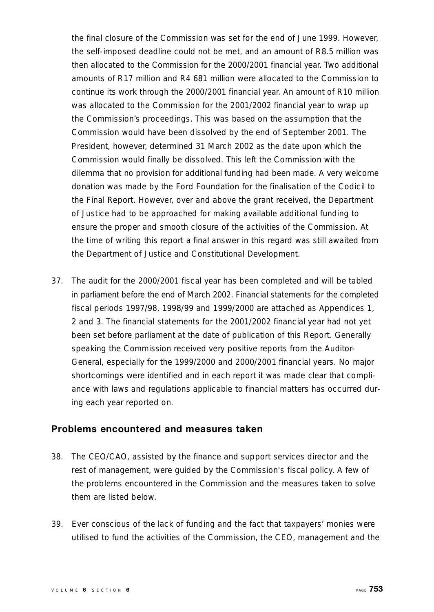the final closure of the Commission was set for the end of June 1999. However, the self-imposed deadline could not be met, and an amount of R8.5 million was then allocated to the Commission for the 2000/2001 financial year. Two additional amounts of R17 million and R4 681 million were allocated to the Commission to continue its work through the 2000/2001 financial year. An amount of R10 million was allocated to the Commission for the 2001/2002 financial year to wrap up the Commission's proceedings. This was based on the assumption that the Commission would have been dissolved by the end of September 2001. The President, however, determined 31 March 2002 as the date upon which the Commission would finally be dissolved. This left the Commission with the dilemma that no provision for additional funding had been made. A very welcome donation was made by the Ford Foundation for the finalisation of the Codicil to the Final Report. However, over and above the grant received, the Department of Justice had to be approached for making available additional funding to ensure the proper and smooth closure of the activities of the Commission. At the time of writing this report a final answer in this regard was still awaited from the Department of Justice and Constitutional Development.

37. The audit for the 2000/2001 fiscal year has been completed and will be tabled in parliament before the end of March 2002. Financial statements for the completed fiscal periods 1997/98, 1998/99 and 1999/2000 are attached as Appendices 1, 2 and 3. The financial statements for the 2001/2002 financial year had not yet been set before parliament at the date of publication of this Report. Generally speaking the Commission received very positive reports from the Auditor-General, especially for the 1999/2000 and 2000/2001 financial years. No major shortcomings were identified and in each report it was made clear that compliance with laws and regulations applicable to financial matters has occurred during each year reported on.

### **Problems encountered and measures taken**

- 38. The CEO/CAO, assisted by the finance and support services director and the rest of management, were guided by the Commission's fiscal policy. A few of the problems encountered in the Commission and the measures taken to solve them are listed below.
- 39. Ever conscious of the lack of funding and the fact that taxpayers' monies were utilised to fund the activities of the Commission, the CEO, management and the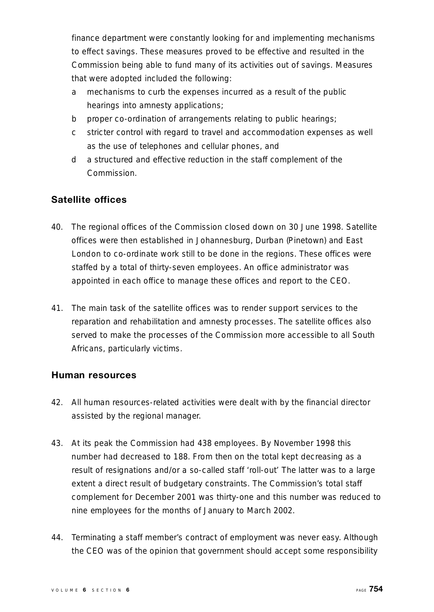finance department were constantly looking for and implementing mechanisms to effect savings. These measures proved to be effective and resulted in the Commission being able to fund many of its activities out of savings. Measure s that were adopted included the following:

- a mechanisms to curb the expenses incurred as a result of the public hearings into amnesty applications;
- b proper co-ordination of arrangements relating to public hearings;
- c stricter control with regard to travel and accommodation expenses as well as the use of telephones and cellular phones, and
- d a structured and effective reduction in the staff complement of the Commission.

### **Satellite offices**

- 40. The regional offices of the Commission closed down on 30 June 1998. Satellite o ffices were then established in Johannesburg, Durban (Pinetown) and East London to co-ordinate work still to be done in the regions. These offices were staffed by a total of thirty-seven employees. An office administrator was appointed in each office to manage these offices and report to the CEO.
- 41. The main task of the satellite offices was to render support services to the reparation and rehabilitation and amnesty processes. The satellite offices also served to make the processes of the Commission more accessible to all South Africans, particularly victims.

### **Human resources**

- 42. All human resources-related activities were dealt with by the financial director assisted by the regional manager.
- 43. At its peak the Commission had 438 employees. By November 1998 this number had decreased to 188. From then on the total kept decreasing as a result of resignations and/or a so-called staff 'roll-out' The latter was to a large extent a direct result of budgetary constraints. The Commission's total staff complement for December 2001 was thirty-one and this number was reduced to nine employees for the months of January to March 2002.
- 44. Terminating a staff member's contract of employment was never easy. Although the CEO was of the opinion that government should accept some responsibility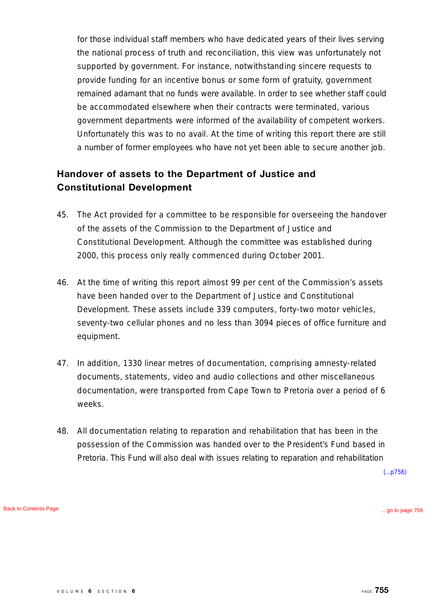for those individual staff members who have dedicated years of their lives serving the national process of truth and reconciliation, this view was unfortunately not supported by government. For instance, notwithstanding sincere requests to provide funding for an incentive bonus or some form of gratuity, government remained adamant that no funds were available. In order to see whether staff could be accommodated elsewhere when their contracts were terminated, various government departments were informed of the availability of competent workers. Unfortunately this was to no avail. At the time of writing this report there are still a number of former employees who have not yet been able to secure another job.

### **Handover of assets to the Department of Justice and Constitutional Development**

- 45. The Act provided for a committee to be responsible for overseeing the handover of the assets of the Commission to the Department of Justice and Constitutional Development. Although the committee was established during 2000, this process only really commenced during October 2001.
- 46. At the time of writing this report almost 99 per cent of the Commission's assets have been handed over to the Department of Justice and Constitutional Development. These assets include 339 computers, forty-two motor vehicles, seventy-two cellular phones and no less than 3094 pieces of office furniture and equipment.
- 47. In addition, 1330 linear metres of documentation, comprising amnesty-related documents, statements, video and audio collections and other miscellaneous documentation, were transported from Cape Town to Pretoria over a period of 6 weeks.
- 48. All documentation relating to reparation and rehabilitation that has been in the possession of the Commission was handed over to the President's Fund based in Pretoria. This Fund will also deal with issues relating to reparation and rehabilitation

(...p756)

[Back to Contents Page](#page-1-0) [... go to page 756](#page-0-0)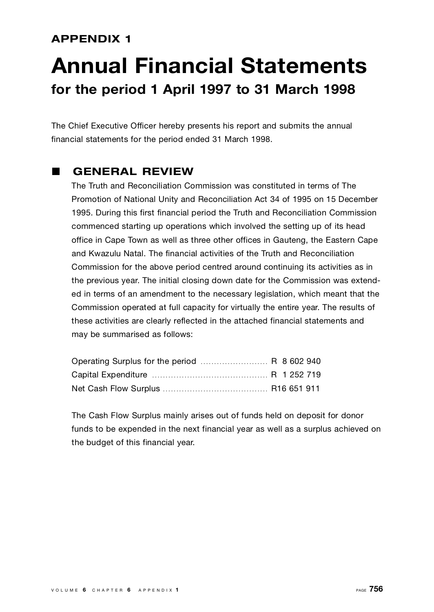### **APPENDIX 1**

### **Annual Financial Statements for the period 1 April 1997 to 31 March 1998**

The Chief Executive Officer hereby presents his report and submits the annual financial statements for the period ended 31 March 1998.

### L **GENERAL REVIEW**

The Truth and Reconciliation Commission was constituted in terms of The Promotion of National Unity and Reconciliation Act 34 of 1995 on 15 December 1995. During this first financial period the Truth and Reconciliation Commission commenced starting up operations which involved the setting up of its head office in Cape Town as well as three other offices in Gauteng, the Eastern Cape and Kwazulu Natal. The financial activities of the Truth and Reconciliation Commission for the above period centred around continuing its activities as in the previous year. The initial closing down date for the Commission was extended in terms of an amendment to the necessary legislation, which meant that the Commission operated at full capacity for virtually the entire year. The results of these activities are clearly reflected in the attached financial statements and may be summarised as follows:

The Cash Flow Surplus mainly arises out of funds held on deposit for donor funds to be expended in the next financial year as well as a surplus achieved on the budget of this financial year.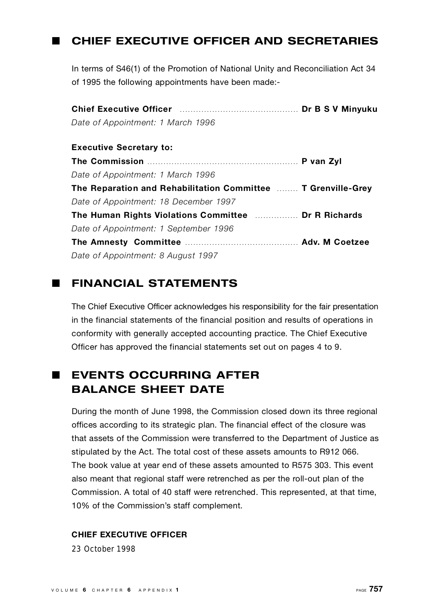### **L CHIEF EXECUTIVE OFFICER AND SECRETARIES**

In terms of S46(1) of the Promotion of National Unity and Reconciliation Act 34 of 1995 the following appointments have been made:-

**Chief Executive Officer** . . . . . . . . . . . . . . . . . . . . . . . . . . . . . . . . . . . . . . . . . . . . **Dr B S V Minyuku** *Date of Appointment: 1 March 1996* **Executive Secretary to: The Commission** . . . . . . . . . . . . . . . . . . . . . . . . . . . . . . . . . . . . . . . . . . . . . . . . . . . . . . . . **P van Zyl** *Date of Appointment: 1 March 1996* **The Reparation and Rehabilitation Committee ........ T Grenville-Grey** *Date of Appointment: 18 December 1997* **The Human Rights Violations Committee** . . . . . . . . . . . . . . . . **Dr R Richard s** *Date of Appointment: 1 September 1996* **The Amnesty Committee** . . . . . . . . . . . . . . . . . . . . . . . . . . . . . . . . . . . . . . . . . . **A d v. M Coetzee** *Date of Appointment: 8 August 1997*

### **E FINANCIAL STATEMENTS**

The Chief Executive Officer acknowledges his responsibility for the fair presentation in the financial statements of the financial position and results of operations in conformity with generally accepted accounting practice. The Chief Executive Officer has approved the financial statements set out on pages 4 to 9.

### **LEVENTS OCCURRING AFTER BALANCE SHEET DATE**

During the month of June 1998, the Commission closed down its three regional offices according to its strategic plan. The financial effect of the closure was that assets of the Commission were transferred to the Department of Justice as stipulated by the Act. The total cost of these assets amounts to R912 066. The book value at year end of these assets amounted to R575 303. This event also meant that regional staff were retrenched as per the roll-out plan of the Commission. A total of 40 staff were retrenched. This represented, at that time, 10% of the Commission's staff complement.

### **CHIEF EXECUTIVE OFFICER**

23 October 1998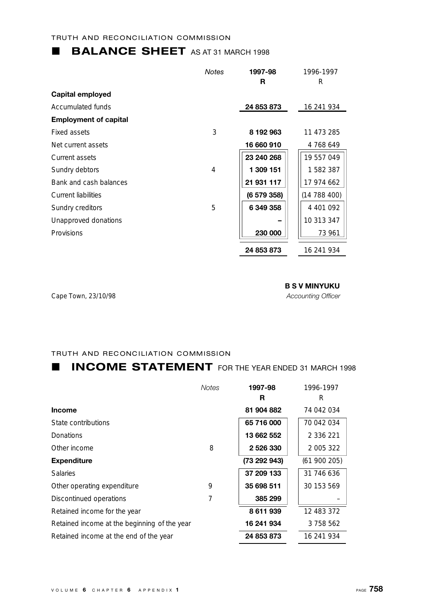### **BALANCE SHEET** AS AT 31 MARCH 1998

|                              | <b>Notes</b>   | 1997-98     | 1996-1997  |
|------------------------------|----------------|-------------|------------|
|                              |                | R           | R          |
| <b>Capital employed</b>      |                |             |            |
| Accumulated funds            |                | 24 853 873  | 16 241 934 |
| <b>Employment of capital</b> |                |             |            |
| Fixed assets                 | 3              | 8 192 963   | 11 473 285 |
| Net current assets           |                | 16 660 910  | 4768649    |
| Current assets               |                | 23 240 268  | 19 557 049 |
| Sundry debtors               | $\overline{4}$ | 1 309 151   | 1582387    |
| Bank and cash balances       |                | 21 931 117  | 17 974 662 |
| <b>Current liabilities</b>   |                | (6 579 358) | (14788400) |
| Sundry creditors             | 5              | 6 349 358   | 4 401 092  |
| Unapproved donations         |                |             | 10 313 347 |
| Provisions                   |                | 230 000     | 73 961     |
|                              |                | 24 853 873  | 16 241 934 |

Cape Town, 23/10/98 *Accounting Officer*

**B S V MINYUKU**

### TRUTH AND RECONCILIATION COMMISSION

### **L INCOME STATEMENT** FOR THE YEAR ENDED 31 MARCH 1998

|                                              | <b>Notes</b> | 1997-98      | 1996-1997  |
|----------------------------------------------|--------------|--------------|------------|
|                                              |              | R            | R          |
| <b>Income</b>                                |              | 81 904 882   | 74 042 034 |
| State contributions                          |              | 65 716 000   | 70 042 034 |
| <b>Donations</b>                             |              | 13 662 552   | 2 336 221  |
| Other income                                 | 8            | 2 526 330    | 2 005 322  |
| <b>Expenditure</b>                           |              | (73 292 943) | (61900205) |
| <b>Salaries</b>                              |              | 37 209 133   | 31 746 636 |
| Other operating expenditure                  | 9            | 35 698 511   | 30 153 569 |
| Discontinued operations                      | 7            | 385 299      |            |
| Retained income for the year                 |              | 8611939      | 12 483 372 |
| Retained income at the beginning of the year |              | 16 241 934   | 3758562    |
| Retained income at the end of the year       |              | 24 853 873   | 16 241 934 |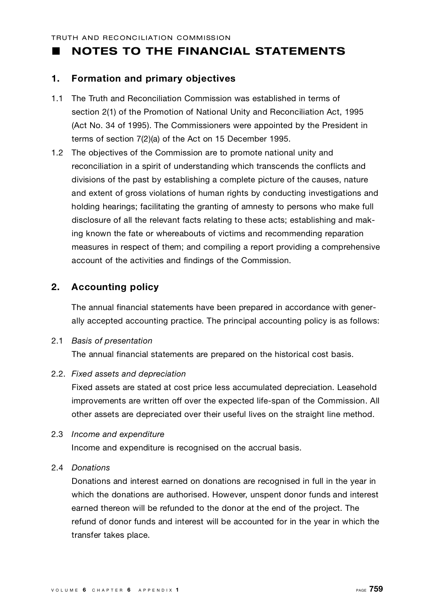### **NOTES TO THE FINANCIAL STATEMENTS**

### **1 . Formation and primary objectives**

- 1.1 The Truth and Reconciliation Commission was established in terms of section 2(1) of the Promotion of National Unity and Reconciliation Act, 1995 (Act No. 34 of 1995). The Commissioners were appointed by the President in terms of section 7(2)(a) of the Act on 15 December 1995.
- 1.2 The objectives of the Commission are to promote national unity and reconciliation in a spirit of understanding which transcends the conflicts and divisions of the past by establishing a complete picture of the causes, nature and extent of gross violations of human rights by conducting investigations and holding hearings; facilitating the granting of amnesty to persons who make full disclosure of all the relevant facts relating to these acts; establishing and making known the fate or whereabouts of victims and recommending reparation measures in respect of them; and compiling a report providing a comprehensive account of the activities and findings of the Commission.

### **2. Accounting policy**

The annual financial statements have been prepared in accordance with generally accepted accounting practice. The principal accounting policy is as follows:

### **2.1 Basis of presentation**

The annual financial statements are prepared on the historical cost basis.

### 2.2. Fixed assets and depreciation

Fixed assets are stated at cost price less accumulated depreciation. Leasehold improvements are written off over the expected life-span of the Commission. All other assets are depreciated over their useful lives on the straight line method.

2.3 *Income and expenditure* 

Income and expenditure is recognised on the accrual basis.

### 2.4 *D o n a t i o n s*

Donations and interest earned on donations are recognised in full in the year in which the donations are authorised. However, unspent donor funds and interest earned thereon will be refunded to the donor at the end of the project. The refund of donor funds and interest will be accounted for in the year in which the transfer takes place.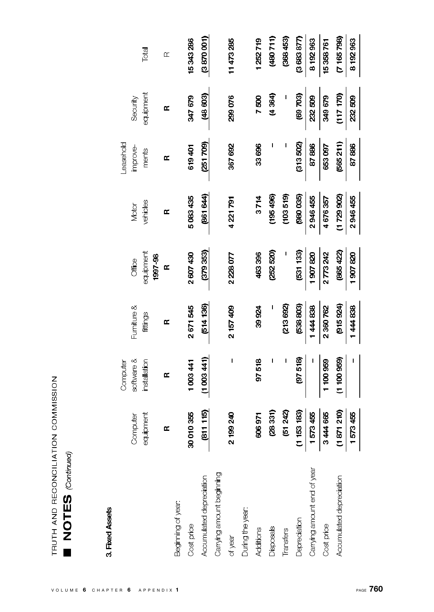| $\tilde{C}$<br>) RECONCILIATION COMM | ţ |
|--------------------------------------|---|
| J<br>É                               |   |
| ſ<br>ŀ                               |   |

## 3. Fixed Assets

|                             |                   | Computer     |             |              |           | <b>Leasehold</b> |           |           |
|-----------------------------|-------------------|--------------|-------------|--------------|-----------|------------------|-----------|-----------|
|                             | Computer          | software &   | Furniture & | Office       | Motor     | improve-         | Security  |           |
|                             | ipment<br>inbe    | installation | fittings    | equipment    | vehicles  | ments            | equipment | Total     |
|                             |                   |              |             | 1997-98      |           |                  |           |           |
|                             | œ                 | Œ            | Œ           | $\mathbf{r}$ | Œ         | Œ                | Œ         | $\alpha$  |
| Beginning of year:          |                   |              |             |              |           |                  |           |           |
| Cost price                  | 30 010 355        | 1003441      | 2671545     | 2607430      | 5083435   | 619401           | 347 679   | 15343286  |
| Accumulated depreciation    | (811115)          | (1003441)    | (514136)    | (379 353)    | (861 644) | (251709)         | (48 603)  | (3870001) |
| Carrying amount beginning   |                   |              |             |              |           |                  |           |           |
| of year                     | 99 240<br>∺<br>∾  | I            | 2 157 409   | 2228077      | 4 221 791 | 367 692          | 299076    | 11473285  |
| During the year:            |                   |              |             |              |           |                  |           |           |
| Additions                   | 606971            | 97518        | 39924       | 463396       | 3714      | 33696            | 7500      | 1252719   |
| Disposals                   | 28331)            | ı            |             | (252520)     | (195496)  |                  | (4.364)   | (480711)  |
| Transfers                   | 51242)            | I            | (213692)    |              | (103519)  |                  |           | (368453)  |
| Depreciation                | 53 183)<br>ご<br>こ | (97518)      | (538 803)   | (531 133)    | (980035)  | (313,502)        | (69703)   | (368387)  |
| Carrying amount end of year | 1573455           |              | 1444838     | 1907820      | 2946455   | 87886            | 232509    | 8192963   |
| Cost price                  | 3444665           | 1 100 959    | 2360762     | 2773242      | 4676357   | 653097           | 349 679   | 15358761  |
| Accumulated depreciation    | (1871210)         | (1 100 959)  | (915924)    | (865 422)    | (1729902) | (565211)         | (117170)  | (7165798) |
|                             | 1573455           |              | 1444838     | 1907820      | 2946455   | 87886            | 232509    | 8192963   |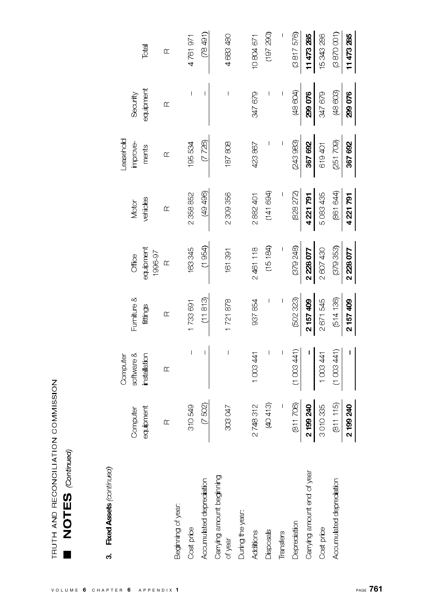# 3. Fixed Assets (continued)

|                                      |           | Computer                                                                                                                                                                                                                                                                                                                                                                         |                          |           |           | easehold |                          |           |
|--------------------------------------|-----------|----------------------------------------------------------------------------------------------------------------------------------------------------------------------------------------------------------------------------------------------------------------------------------------------------------------------------------------------------------------------------------|--------------------------|-----------|-----------|----------|--------------------------|-----------|
|                                      | Computer  | software &                                                                                                                                                                                                                                                                                                                                                                       | Furniture &              | Office    | Motor     | improve- | Security                 |           |
|                                      | equipment | installation                                                                                                                                                                                                                                                                                                                                                                     | fittings                 | equipment | vehicles  | ments    | equipment                | Total     |
|                                      |           |                                                                                                                                                                                                                                                                                                                                                                                  |                          | 1996-97   |           |          |                          |           |
|                                      | $\alpha$  | $\alpha$                                                                                                                                                                                                                                                                                                                                                                         | $\alpha$                 | $\alpha$  | $\alpha$  | $\alpha$ | $\alpha$                 | $\alpha$  |
| Beginning of year                    |           |                                                                                                                                                                                                                                                                                                                                                                                  |                          |           |           |          |                          |           |
| Cost price                           | 310549    | $\mathbf{I}$                                                                                                                                                                                                                                                                                                                                                                     | 1733 691                 | 163345    | 2358852   | 195534   | $\overline{\phantom{a}}$ | 4761971   |
| Accumulated depredation              | (7502)    | Ī                                                                                                                                                                                                                                                                                                                                                                                | (11813)                  | (1954)    | (49496)   | (7 726)  | Ī                        | (78491)   |
| Carrying amount beginning<br>of year | 203047    | $\begin{array}{c} \rule{0pt}{2.5ex} \rule{0pt}{2.5ex} \rule{0pt}{2.5ex} \rule{0pt}{2.5ex} \rule{0pt}{2.5ex} \rule{0pt}{2.5ex} \rule{0pt}{2.5ex} \rule{0pt}{2.5ex} \rule{0pt}{2.5ex} \rule{0pt}{2.5ex} \rule{0pt}{2.5ex} \rule{0pt}{2.5ex} \rule{0pt}{2.5ex} \rule{0pt}{2.5ex} \rule{0pt}{2.5ex} \rule{0pt}{2.5ex} \rule{0pt}{2.5ex} \rule{0pt}{2.5ex} \rule{0pt}{2.5ex} \rule{0$ | 1721878                  | 161391    | 2309356   | 187808   | $\overline{\phantom{a}}$ | 4683480   |
| During the year:                     |           |                                                                                                                                                                                                                                                                                                                                                                                  |                          |           |           |          |                          |           |
| Additions                            | 2748312   | 1008441                                                                                                                                                                                                                                                                                                                                                                          | 937854                   | 2461118   | 2882401   | 423867   | 347 679                  | 10804671  |
| Disposals                            | (40413)   | I                                                                                                                                                                                                                                                                                                                                                                                | $\overline{\phantom{a}}$ | (15184)   | (141694)  | I        | I                        | (197 290) |
| Transfers                            | I         | I                                                                                                                                                                                                                                                                                                                                                                                | I                        | I         |           | I        | I                        | I         |
| Depreciation                         | (811706)  | (1003441)                                                                                                                                                                                                                                                                                                                                                                        | (502 323)                | (379248)  | 828 272)  | (243983) | (48 604)                 | (3817576) |
| Carrying amount end of year          | 2199240   |                                                                                                                                                                                                                                                                                                                                                                                  | 2157409                  | 2228077   | 4 221 791 | 367 692  | 299076                   | 11473285  |
| Cost price                           | 3010335   | 1003441                                                                                                                                                                                                                                                                                                                                                                          | 2671545                  | 2 607 430 | 5 083 435 | 619401   | 347 679                  | 15343286  |
| Accumulated depredation              | (811115)  | (1003441)                                                                                                                                                                                                                                                                                                                                                                        | (514136)                 | (379 353) | (861 644) | (251709) | (48603)                  | (3870001) |
|                                      | 2199240   | $\blacksquare$                                                                                                                                                                                                                                                                                                                                                                   | 2157409                  | 2228077   | 4 221 791 | 367 692  | 299076                   | 11473285  |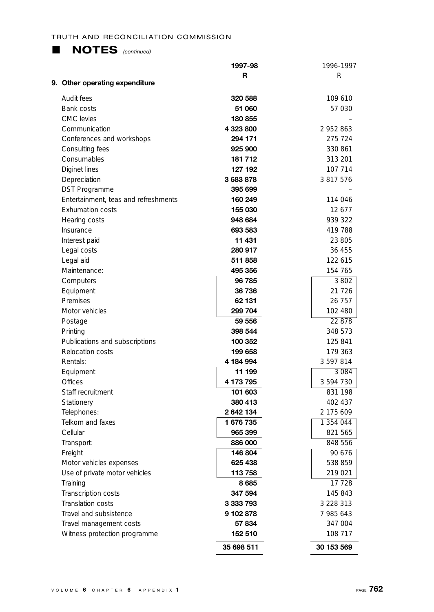### **L NOTES** *(continued)*

|                                                                 | 1997-98              | 1996-1997          |
|-----------------------------------------------------------------|----------------------|--------------------|
| 9. Other operating expenditure                                  | R                    | R                  |
| Audit fees                                                      | 320 588              |                    |
|                                                                 |                      | 109 610            |
| Bank costs                                                      | 51 060               | 57 030             |
| <b>CMC</b> levies                                               | 180 855              |                    |
| Communication                                                   | 4 323 800<br>294 171 | 2952863<br>275 724 |
| Conferences and workshops                                       |                      | 330 861            |
| Consulting fees                                                 | 925 900              |                    |
| Consumables                                                     | 181 712              | 313 201            |
| Diginet lines                                                   | 127 192              | 107 714            |
| Depreciation                                                    | 3683878              | 3 817 576          |
| <b>DST Programme</b>                                            | 395 699              |                    |
| Entertainment, teas and refreshments<br><b>Exhumation costs</b> | 160 249              | 114 046            |
|                                                                 | 155 030              | 12677              |
| Hearing costs                                                   | 948 684<br>693 583   | 939 322<br>419 788 |
| Insurance                                                       | 11 431               | 23 805             |
| Interest paid<br>Legal costs                                    | 280 917              | 36 455             |
| Legal aid                                                       | 511858               | 122 615            |
| Maintenance:                                                    | 495 356              | 154 765            |
| Computers                                                       | 96 785               | 3 802              |
| Equipment                                                       | 36 736               | 21 7 26            |
| Premises                                                        | 62 131               | 26 757             |
| Motor vehicles                                                  | 299 704              | 102 480            |
| Postage                                                         | 59 556               | 22 878             |
| Printing                                                        | 398 544              | 348 573            |
| Publications and subscriptions                                  | 100 352              | 125 841            |
| <b>Relocation costs</b>                                         | 199 658              | 179 363            |
| Rentals:                                                        | 4 184 994            | 3 597 814          |
| Equipment                                                       | 11 199               | 3 084              |
| Offices                                                         | 4 173 795            | 3 594 730          |
| Staff recruitment                                               | 101 603              | 831 198            |
| Stationery                                                      | 380 413              | 402 437            |
| Telephones:                                                     | 2642134              | 2 175 609          |
| Telkom and faxes                                                | 1 676 735            | 1 354 044          |
| Cellular                                                        | 965 399              | 821 565            |
| Transport:                                                      | 886 000              | 848 556            |
| Freight                                                         | 146 804              | 90 676             |
| Motor vehicles expenses                                         | 625 438              | 538 859            |
| Use of private motor vehicles                                   | 113 758              | 219 021            |
| Training                                                        | 8685                 | 17 728             |
| Transcription costs                                             | 347 594              | 145 843            |
| Translation costs                                               | 3 333 793            | 3 228 313          |
| Travel and subsistence                                          | 9 102 878            | 7 985 643          |
| Travel management costs                                         | 57 834               | 347 004            |
| Witness protection programme                                    | 152 510              | 108 717            |
|                                                                 | 35 698 511           | 30 153 569         |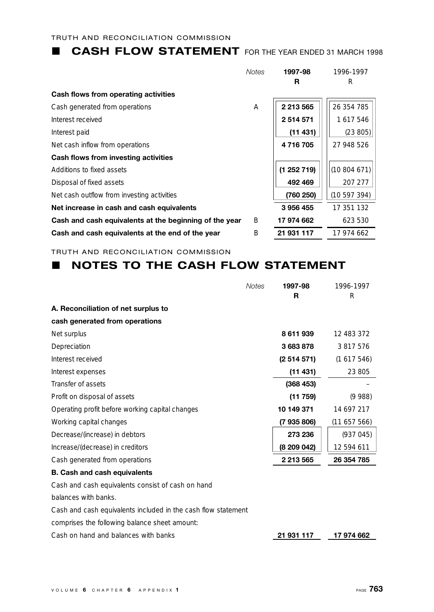### **L CASH FLOW STATEMENT** FOR THE YEAR ENDED 31 MARCH 1998

|                                                        | <b>Notes</b> | 1997-98    | 1996-1997  |
|--------------------------------------------------------|--------------|------------|------------|
|                                                        |              | R          | R          |
| Cash flows from operating activities                   |              |            |            |
| Cash generated from operations                         | A            | 2 213 565  | 26 354 785 |
| Interest received                                      |              | 2514571    | 1617546    |
| Interest paid                                          |              | (11431)    | (23 805)   |
| Net cash inflow from operations                        |              | 4716705    | 27 948 526 |
| Cash flows from investing activities                   |              |            |            |
| Additions to fixed assets                              |              | (1252719)  | (10804671) |
| Disposal of fixed assets                               |              | 492 469    | 207 277    |
| Net cash outflow from investing activities             |              | (760 250)  | (10597394) |
| Net increase in cash and cash equivalents              |              | 3956455    | 17 351 132 |
| Cash and cash equivalents at the beginning of the year | B            | 17 974 662 | 623 530    |
| Cash and cash equivalents at the end of the year       | B            | 21 931 117 | 17 974 662 |

TRUTH AND RECONCILIATION COMMISSION

### **NOTES TO THE CASH FLOW STATEMENT**

|                                                               | <b>Notes</b> | 1997-98     | 1996-1997  |
|---------------------------------------------------------------|--------------|-------------|------------|
|                                                               |              | R           | R          |
| A. Reconciliation of net surplus to                           |              |             |            |
| cash generated from operations                                |              |             |            |
| Net surplus                                                   |              | 8611939     | 12 483 372 |
| Depreciation                                                  |              | 3683878     | 3 817 576  |
| Interest received                                             |              | (2514571)   | (1617546)  |
| Interest expenses                                             |              | (11431)     | 23 805     |
| Transfer of assets                                            |              | (368453)    |            |
| Profit on disposal of assets                                  |              | (11759)     | (9988)     |
| Operating profit before working capital changes               |              | 10 149 371  | 14 697 217 |
| Working capital changes                                       |              | (7935806)   | (11657566) |
| Decrease/(increase) in debtors                                |              | 273 236     | (937045)   |
| Increase/(decrease) in creditors                              |              | (8 209 042) | 12 594 611 |
| Cash generated from operations                                |              | 2 213 565   | 26 354 785 |
| <b>B. Cash and cash equivalents</b>                           |              |             |            |
| Cash and cash equivalents consist of cash on hand             |              |             |            |
| balances with banks.                                          |              |             |            |
| Cash and cash equivalents included in the cash flow statement |              |             |            |
| comprises the following balance sheet amount:                 |              |             |            |
| Cash on hand and balances with banks                          |              | 21 931 117  | 17 974 662 |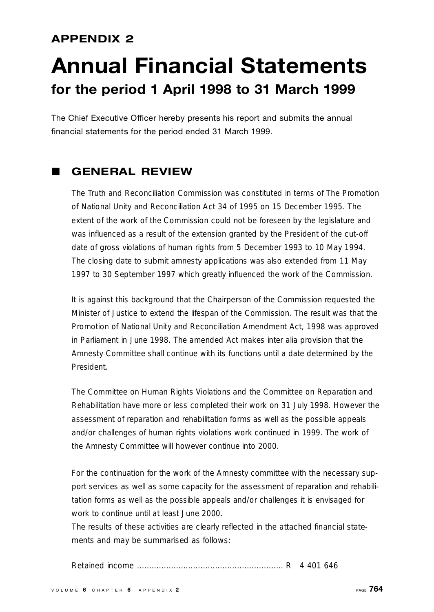### **APPENDIX 2**

### **Annual Financial Statements for the period 1 April 1998 to 31 March 1999**

The Chief Executive Officer hereby presents his report and submits the annual financial statements for the period ended 31 March 1999.

### L **GENERAL REVIEW**

The Truth and Reconciliation Commission was constituted in terms of The Promotion of National Unity and Reconciliation Act 34 of 1995 on 15 December 1995. The extent of the work of the Commission could not be foreseen by the legislature and was influenced as a result of the extension granted by the President of the cut-off date of gross violations of human rights from 5 December 1993 to 10 May 1994. The closing date to submit amnesty applications was also extended from 11 May 1997 to 30 September 1997 which greatly influenced the work of the Commission.

It is against this background that the Chairperson of the Commission requested the Minister of Justice to extend the lifespan of the Commission. The result was that the Promotion of National Unity and Reconciliation Amendment Act, 1998 was approved in Parliament in June 1998. The amended Act makes inter alia provision that the Amnesty Committee shall continue with its functions until a date determined by the President.

The Committee on Human Rights Violations and the Committee on Reparation and Rehabilitation have more or less completed their work on 31 July 1998. However the assessment of reparation and rehabilitation forms as well as the possible appeals and/or challenges of human rights violations work continued in 1999. The work of the Amnesty Committee will however continue into 2000.

For the continuation for the work of the Amnesty committee with the necessary support services as well as some capacity for the assessment of reparation and rehabilitation forms as well as the possible appeals and/or challenges it is envisaged for work to continue until at least June 2000.

The results of these activities are clearly reflected in the attached financial statements and may be summarised as follows:

Retained income . . . . . . . . . . . . . . . . . . . . . . . . . . . . . . . . . . . . . . . . . . . . . . . . . . . . . . . . . . . . R 4 401 646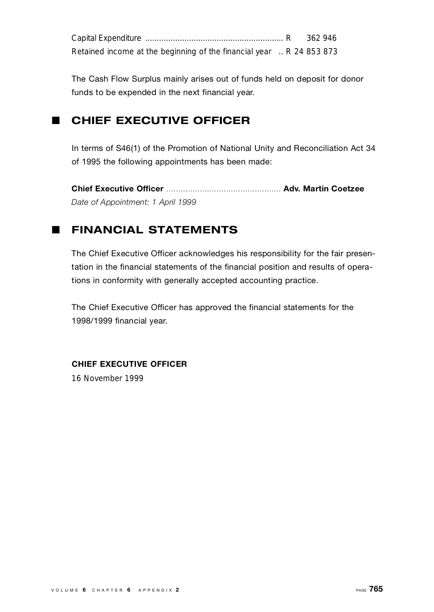|                                                                      | 362 946 |  |
|----------------------------------------------------------------------|---------|--|
| Retained income at the beginning of the financial year  R 24 853 873 |         |  |

The Cash Flow Surplus mainly arises out of funds held on deposit for donor funds to be expended in the next financial year.

### **E** CHIEF EXECUTIVE OFFICER

In terms of S46(1) of the Promotion of National Unity and Reconciliation Act 34 of 1995 the following appointments has been made:

**Chief Executive Off i c e r** . . . . . . . . . . . . . . . . . . . . . . . . . . . . . . . . . . . . . . . . . . . . . . . . **A d v. Martin Coetzee** *Date of Appointment: 1 April 1999*

### **E FINANCIAL STATEMENTS**

The Chief Executive Officer acknowledges his responsibility for the fair presentation in the financial statements of the financial position and results of operations in conformity with generally accepted accounting practice.

The Chief Executive Officer has approved the financial statements for the 1998/1999 financial year.

### **CHIEF EXECUTIVE OFFICER**

16 November 1999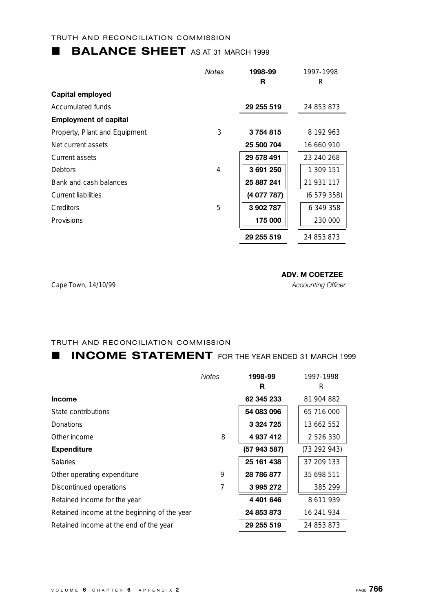### **BALANCE SHEET** AS AT 31 MARCH 1999

|                               | <b>Notes</b> | 1998-99     | 1997-1998  |
|-------------------------------|--------------|-------------|------------|
|                               |              | R           | R          |
| Capital employed              |              |             |            |
| Accumulated funds             |              | 29 255 519  | 24 853 873 |
| <b>Employment of capital</b>  |              |             |            |
| Property, Plant and Equipment | 3            | 3754815     | 8 192 963  |
| Net current assets            |              | 25 500 704  | 16 660 910 |
| Current assets                |              | 29 578 491  | 23 240 268 |
| <b>Debtors</b>                | 4            | 3691250     | 1 309 151  |
| Bank and cash balances        |              | 25 887 241  | 21 931 117 |
| Current liabilities           |              | (4 077 787) | (6579358)  |
| Creditors                     | 5            | 3902787     | 6 349 358  |
| Provisions                    |              | 175 000     | 230 000    |
|                               |              | 29 255 519  | 24 853 873 |

Cape Town, 14/10/99 *Accounting Officer*

### **ADV. M COETZEE**

### TRUTH AND RECONCILIATION COMMISSION

### **L INCOME STATEMENT** FOR THE YEAR ENDED 31 MARCH 1999

|                                              | <b>Notes</b> | 1998-99       | 1997-1998     |
|----------------------------------------------|--------------|---------------|---------------|
|                                              |              | R             | R             |
| <b>Income</b>                                |              | 62 345 233    | 81 904 882    |
| State contributions                          |              | 54 083 096    | 65 716 000    |
| <b>Donations</b>                             |              | 3 3 2 4 7 2 5 | 13 662 552    |
| Other income                                 | 8            | 4 937 412     | 2 5 2 6 3 3 0 |
| <b>Expenditure</b>                           |              | (57 943 587)  | (73 292 943)  |
| <b>Salaries</b>                              |              | 25 161 438    | 37 209 133    |
| Other operating expenditure                  | 9            | 28 786 877    | 35 698 511    |
| Discontinued operations                      | 7            | 3995272       | 385 299       |
| Retained income for the year                 |              | 4 401 646     | 8 611 939     |
| Retained income at the beginning of the year |              | 24 853 873    | 16 241 934    |
| Retained income at the end of the year       |              | 29 255 519    | 24 853 873    |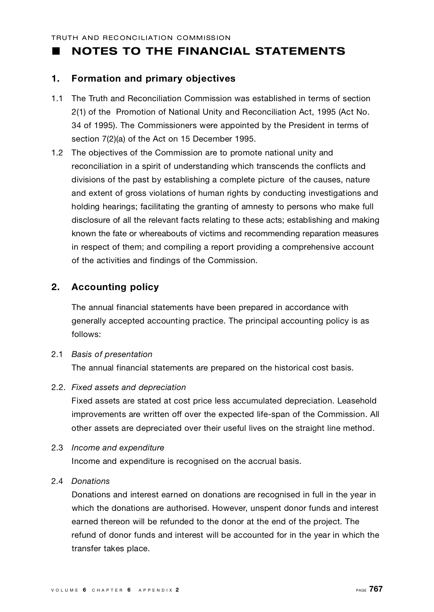### **NOTES TO THE FINANCIAL STATEMENTS**

### **1 . Formation and primary objectives**

- 1.1 The Truth and Reconciliation Commission was established in terms of section 2(1) of the Promotion of National Unity and Reconciliation Act, 1995 (Act No. 34 of 1995). The Commissioners were appointed by the President in terms of section 7(2)(a) of the Act on 15 December 1995.
- 1.2 The objectives of the Commission are to promote national unity and reconciliation in a spirit of understanding which transcends the conflicts and divisions of the past by establishing a complete picture of the causes, nature and extent of gross violations of human rights by conducting investigations and holding hearings; facilitating the granting of amnesty to persons who make full disclosure of all the relevant facts relating to these acts; establishing and making known the fate or whereabouts of victims and recommending reparation measures in respect of them; and compiling a report providing a comprehensive account of the activities and findings of the Commission.

### **2. Accounting policy**

The annual financial statements have been prepared in accordance with generally accepted accounting practice. The principal accounting policy is as follows:

### 2.1 *Basis of presentation* The annual financial statements are prepared on the historical cost basis.

2.2. Fixed assets and depreciation

Fixed assets are stated at cost price less accumulated depreciation. Leasehold improvements are written off over the expected life-span of the Commission. All other assets are depreciated over their useful lives on the straight line method.

2.3 *Income and expenditure* 

Income and expenditure is recognised on the accrual basis.

### 2.4 *D o n a t i o n s*

Donations and interest earned on donations are recognised in full in the year in which the donations are authorised. However, unspent donor funds and interest earned thereon will be refunded to the donor at the end of the project. The refund of donor funds and interest will be accounted for in the year in which the transfer takes place.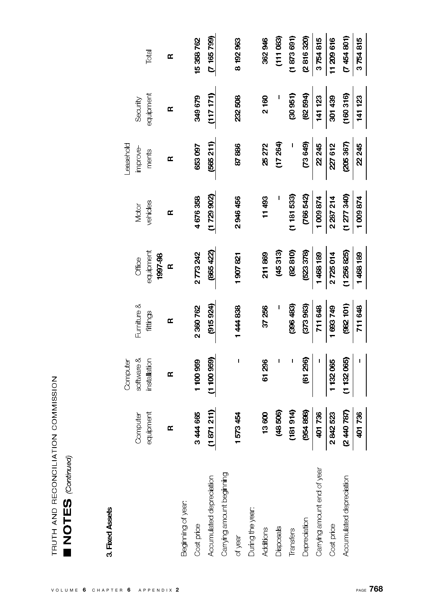### 3. Fixed Assets

|                             |                     | Computer       |              |              |             | Leasehold  |           |             |
|-----------------------------|---------------------|----------------|--------------|--------------|-------------|------------|-----------|-------------|
|                             | Computer            | software &     | Furniture &  | Office       | Motor       | improve-   | Security  |             |
|                             | <b>ilpment</b><br>ह | installation   | fittings     | equipment    | vehides     | ments      | equipment | Total       |
|                             |                     |                |              | 1997-98      |             |            |           |             |
|                             | ≃                   | œ              | $\mathbf{r}$ | $\mathbf{r}$ | Œ           | Œ          | Œ         | Œ           |
| Beginning of year:          |                     |                |              |              |             |            |           |             |
| Cost price                  | 3444665             | 100959         | 2360762      | 2773242      | 4676358     | 653097     | 349679    | 15 358 762  |
| Accumulated depreciation    | (1871211)           | (1100959)      | (915924)     | (865 422)    | (1729902)   | (565 211)  | (117171)  | (7165799)   |
| Carrying amount beginning   |                     |                |              |              |             |            |           |             |
| of year                     | 1573454             | $\blacksquare$ | 1444838      | 1907821      | 2946456     | 87886      | 232508    | 8 192 963   |
| During the year:            |                     |                |              |              |             |            |           |             |
| Additions                   | 13600               | 61296          | 37 256       | 211869       | 11493       | 25272      | 2160      | 362946      |
| Disposals                   | (48 506)            |                |              | (45313)      |             | (17,264)   |           | (11083)     |
| Transfers                   | (181914)            |                | (396, 483)   | (82810)      | (1181533)   |            | (30951)   | (1873691)   |
| Deprediation                | (954898)            | (61 296)       | (373963)     | (523378)     | (766 542)   | (258)      | (62594)   | (2816320)   |
| Carrying amount end of year | 401736              |                | 711 648      | 1468189      | 1009874     | 22,245     | 141 123   | 3754815     |
| Cost price                  | 2842523             | 1132065        | 1693749      | 2725014      | 2 287 214   | 227612     | 301439    | 11209616    |
| Accumulated depreciation    | (2440 787)          | (1132065)      | (982 101)    | (1256825)    | (1 277 340) | (205, 367) | (160316)  | (7 454 801) |
|                             | 01736               |                | 711 648      | 1468189      | 1009874     | 2245       | 141 123   | 3754815     |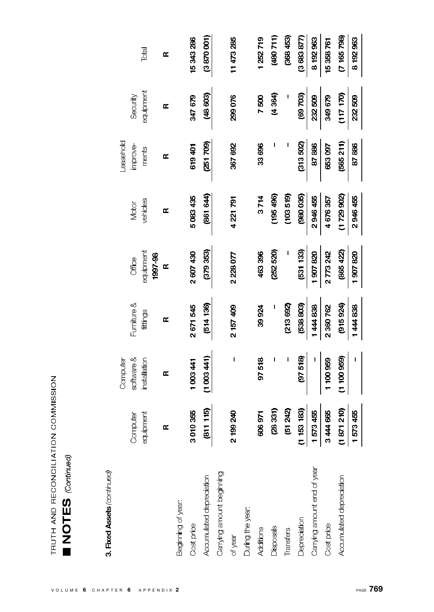| ;<br>;<br>;<br>;              |  |
|-------------------------------|--|
| - 24<br>- 14<br>- 1<br>こくこくしじ |  |
| j<br>ĺ                        |  |
| $\mathbf{I}$<br>l             |  |

# **NOTES** (Continued)

## 3. Fixed Assets (continued)

|                             |                                                              | Computer     |             |              |           | <b>Leasehold</b> |           |            |
|-----------------------------|--------------------------------------------------------------|--------------|-------------|--------------|-----------|------------------|-----------|------------|
|                             | Computer                                                     | software &   | Furniture & | Office       | Motor     | improve-         | Security  |            |
|                             | equipment                                                    | installation | fittings    | equipment    | vehides   | ments            | equipment | Total      |
|                             |                                                              |              |             | 1997 98      |           |                  |           |            |
|                             | Œ                                                            | Œ            | Œ           | $\mathbf{r}$ | Œ         | œ                | Œ         | œ          |
| Beginning of year           |                                                              |              |             |              |           |                  |           |            |
| Cost price                  | <b>110355</b><br>ິ                                           | 1003441      | 2671545     | 2 607 430    | 5083435   | 619 401          | 347 679   | 15343286   |
| Accumulated depredation     | (811115)                                                     | (1003441)    | (514136)    | (379 353)    | (861 644) | (251709)         | (48 603)  | (3870001)  |
| Carrying amount beginning   |                                                              |              |             |              |           |                  |           |            |
| of year                     | 99 240<br><u>ನ</u>                                           | I            | 2 157 409   | 2228077      | 4221791   | 367 692          | 299076    | 11473285   |
| During the year:            |                                                              |              |             |              |           |                  |           |            |
| Additions                   | <b>146 90c</b>                                               | 97518        | 39924       | 463396       | 3714      | 33696            | 7500      | 1252719    |
| Disposals                   | (28331)                                                      |              |             | (252520)     | (195 496) |                  | (4 364)   | (11708)    |
| Transfers                   | (51242)                                                      | I            | (213 692)   |              | (103519)  |                  | I         | (368453)   |
| Depreciation                |                                                              | (97518)      | (538803)    | (531 133)    | (980035)  | (313,502)        | (69703)   | (3683 877) |
| Carrying amount end of year | $\frac{(1153 \text{ } 183)}{1573 \text{ } 455}$<br>3 444 665 |              | 1444838     | 1907820      | 2946455   | 87886            | 232509    | 8 192 963  |
| Cost price                  |                                                              | 1 100 959    | 2360762     | 2773242      | 4676357   | 653097           | 349679    | 15 358 761 |
| Accumulated depredation     | $\frac{(1871210)}{1573455}$                                  | (1100959)    | (915924)    | (865 422)    | (1729902) | (565 211)        | (117 170) | (7165798)  |
|                             |                                                              |              | 1444838     | 1907820      | 2946455   | 87886            | 232509    | 8192963    |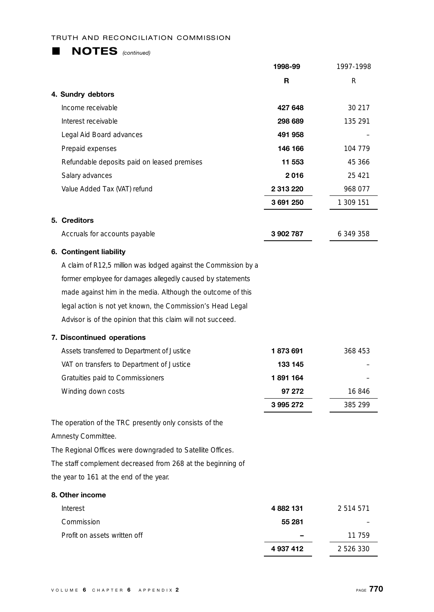| <b>NOTES</b> (continued)                                        |           |           |
|-----------------------------------------------------------------|-----------|-----------|
|                                                                 | 1998-99   | 1997-1998 |
|                                                                 | R         | R         |
| 4. Sundry debtors                                               |           |           |
| Income receivable                                               | 427 648   | 30 217    |
| Interest receivable                                             | 298 689   | 135 291   |
| Legal Aid Board advances                                        | 491 958   |           |
| Prepaid expenses                                                | 146 166   | 104 779   |
| Refundable deposits paid on leased premises                     | 11 553    | 45 366    |
| Salary advances                                                 | 2016      | 25 4 21   |
| Value Added Tax (VAT) refund                                    | 2 313 220 | 968 077   |
|                                                                 | 3 691 250 | 1 309 151 |
| 5. Creditors                                                    |           |           |
| Accruals for accounts payable                                   | 3902787   | 6 349 358 |
| 6. Contingent liability                                         |           |           |
| A claim of R12,5 million was lodged against the Commission by a |           |           |
| former employee for damages allegedly caused by statements      |           |           |
| made against him in the media. Although the outcome of this     |           |           |
| legal action is not yet known, the Commission's Head Legal      |           |           |
| Advisor is of the opinion that this claim will not succeed.     |           |           |
| 7. Discontinued operations                                      |           |           |
| Assets transferred to Department of Justice                     | 1873691   | 368 453   |
| VAT on transfers to Department of Justice                       | 133 145   |           |
| Gratuities paid to Commissioners                                | 1891164   |           |
| Winding down costs                                              | 97 272    | 16 846    |
|                                                                 | 3995272   | 385 299   |
| The operation of the TRC presently only consists of the         |           |           |
| Amnesty Committee.                                              |           |           |
| The Regional Offices were downgraded to Satellite Offices.      |           |           |
| The staff complement decreased from 268 at the beginning of     |           |           |
| the year to 161 at the end of the year.                         |           |           |
| 8. Other income                                                 |           |           |
| Interest                                                        | 4882131   | 2 514 571 |
| Commission                                                      | 55 281    |           |
| Profit on assets written off                                    |           | 11 759    |
|                                                                 | 4 937 412 | 2 526 330 |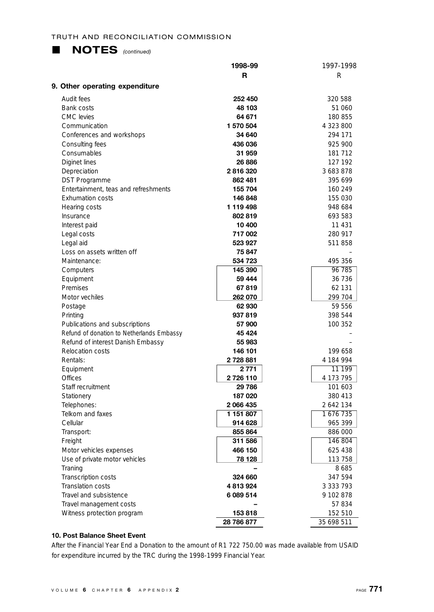

|                                           | 1998-99                | 1997-1998            |
|-------------------------------------------|------------------------|----------------------|
|                                           | R                      | R                    |
| 9. Other operating expenditure            |                        |                      |
| Audit fees                                | 252 450                | 320 588              |
| <b>Bank costs</b>                         | 48 103                 | 51 060               |
| CMC levies                                | 64 671                 | 180 855              |
| Communication                             | 1 570 504              | 4 323 800            |
| Conferences and workshops                 | 34 640                 | 294 171              |
| Consulting fees                           | 436 036                | 925 900              |
| Consumables                               | 31 959                 | 181 712              |
| Diginet lines                             | 26 886                 | 127 192              |
| Depreciation                              | 2816320                | 3 683 878            |
| <b>DST Programme</b>                      | 862 481                | 395 699              |
| Entertainment, teas and refreshments      | 155 704                | 160 249              |
| <b>Exhumation costs</b>                   | 146 848                | 155 030              |
| Hearing costs                             | 1 119 498              | 948 684              |
| Insurance                                 | 802819                 | 693 583              |
| Interest paid                             | 10 400                 | 11 431               |
| Legal costs                               | 717 002                | 280 917              |
| Legal aid                                 | 523 927                | 511858               |
| Loss on assets written off                | 75847                  |                      |
| Maintenance:                              | 534 723                | 495 356              |
| Computers                                 | 145 390                | 96 785               |
| Equipment                                 | 59 444                 | 36 736               |
| Premises                                  | 67819                  | 62 131               |
| Motor vechiles                            | 262 070                | 299 704              |
| Postage                                   | 62930                  | 59 556               |
| Printing                                  | 937819                 | 398 544              |
| Publications and subscriptions            | 57 900                 | 100 352              |
| Refund of donation to Netherlands Embassy | 45 424                 |                      |
| Refund of interest Danish Embassy         | 55 983                 |                      |
| <b>Relocation costs</b>                   | 146 101                | 199 658              |
| Rentals:                                  | 2 728 881              | 4 184 994            |
| Equipment                                 | 2771                   | 11 199               |
| <b>Offices</b>                            | 2726110                | 4 173 795            |
| Staff recruitment                         | 29 786                 | 101 603              |
| Stationery                                | 187020                 | 380 413<br>2 642 134 |
| Telephones:<br>Telkom and faxes           | 2 066 435<br>1 151 807 | 1676 735             |
| Cellular                                  | 914 628                |                      |
| Transport:                                | 855 864                | 965 399<br>886 000   |
| Freight                                   | 311 586                | 146 804              |
| Motor vehicles expenses                   | 466 150                | 625 438              |
| Use of private motor vehicles             | 78 128                 | 113 758              |
| Traning                                   |                        | 8685                 |
| Transcription costs                       | 324 660                | 347 594              |
| <b>Translation costs</b>                  | 4813924                | 3 3 3 7 9 3          |
| Travel and subsistence                    | 6 089 514              | 9 102 878            |
| Travel management costs                   |                        | 57834                |
| Witness protection program                | 153818                 | 152 510              |
|                                           | 28 786 877             | 35 698 511           |

### **10. Post Balance Sheet Event**

After the Financial Year End a Donation to the amount of R1 722 750.00 was made available from USAID for expenditure incurred by the TRC during the 1998-1999 Financial Year.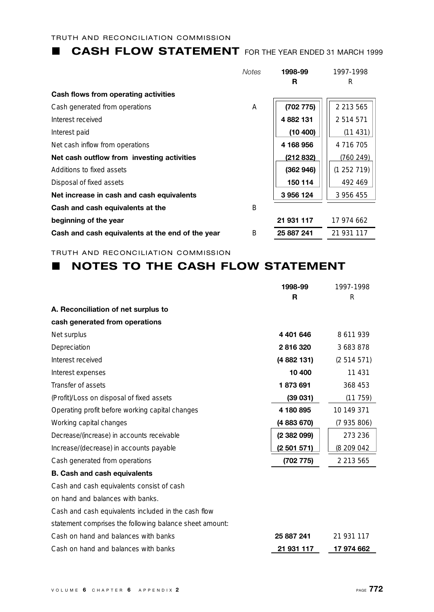### **L CASH FLOW STATEMENT** FOR THE YEAR ENDED 31 MARCH 1999

| <b>Notes</b> | 1998-99    | 1997-1998     |
|--------------|------------|---------------|
|              | R          | R             |
|              |            |               |
| Α            | (702775)   | 2 2 1 3 5 6 5 |
|              | 4882131    | 2514571       |
|              | (10 400)   | (11431)       |
|              | 4 168 956  | 4 7 1 6 7 0 5 |
|              | (212 832)  | (760 249)     |
|              | (362946)   | (1252719)     |
|              | 150 114    | 492 469       |
|              | 3956124    | 3 956 455     |
| B            |            |               |
|              | 21 931 117 | 17 974 662    |
| B            | 25 887 241 | 21 931 117    |
|              |            |               |

TRUTH AND RECONCILIATION COMMISSION

### **NOTES TO THE CASH FLOW STATEMENT**

|                                                         | 1998-99       | 1997-1998     |
|---------------------------------------------------------|---------------|---------------|
|                                                         | R             | R             |
| A. Reconciliation of net surplus to                     |               |               |
| cash generated from operations                          |               |               |
| Net surplus                                             | 4 4 0 1 6 4 6 | 8 611 939     |
| Depreciation                                            | 2816320       | 3683878       |
| Interest received                                       | (4 882 131)   | (2514571)     |
| Interest expenses                                       | 10 400        | 11 431        |
| Transfer of assets                                      | 1873691       | 368 453       |
| (Profit)/Loss on disposal of fixed assets               | (39031)       | (11759)       |
| Operating profit before working capital changes         | 4 180 895     | 10 149 371    |
| Working capital changes                                 | (4 883 670)   | (7935806)     |
| Decrease/(increase) in accounts receivable              | (2 382 099)   | 273 236       |
| Increase/(decrease) in accounts payable                 | (2501571)     | (8 209 042    |
| Cash generated from operations                          | (702 775)     | 2 2 1 3 5 6 5 |
| <b>B. Cash and cash equivalents</b>                     |               |               |
| Cash and cash equivalents consist of cash               |               |               |
| on hand and balances with banks.                        |               |               |
| Cash and cash equivalents included in the cash flow     |               |               |
| statement comprises the following balance sheet amount: |               |               |
| Cash on hand and balances with banks                    | 25 887 241    | 21 931 117    |
| Cash on hand and balances with banks                    | 21 931 117    | 17 974 662    |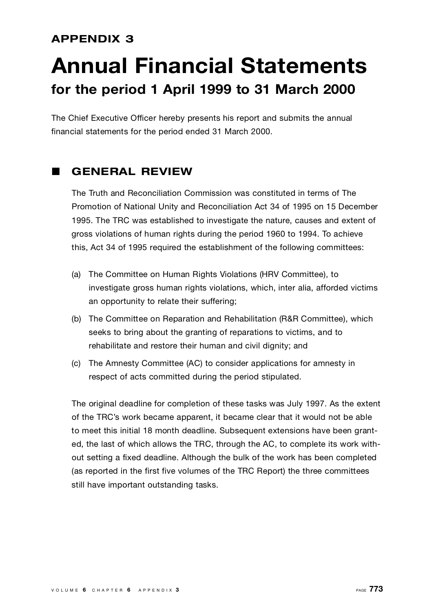### **APPENDIX 3**

### **Annual Financial Statements for the period 1 April 1999 to 31 March 2000**

The Chief Executive Officer hereby presents his report and submits the annual financial statements for the period ended 31 March 2000.

### L **GENERAL REVIEW**

The Truth and Reconciliation Commission was constituted in terms of The Promotion of National Unity and Reconciliation Act 34 of 1995 on 15 December 1995. The TRC was established to investigate the nature, causes and extent of gross violations of human rights during the period 1960 to 1994. To achieve this, Act 34 of 1995 required the establishment of the following committees:

- (a) The Committee on Human Rights Violations (HRV Committee), to investigate gross human rights violations, which, inter alia, afforded victims an opportunity to relate their suffering;
- (b) The Committee on Reparation and Rehabilitation (R&R Committee), which seeks to bring about the granting of reparations to victims, and to rehabilitate and restore their human and civil dignity; and
- (c) The Amnesty Committee (AC) to consider applications for amnesty in respect of acts committed during the period stipulated.

The original deadline for completion of these tasks was July 1997. As the extent of the TRC's work became apparent, it became clear that it would not be able to meet this initial 18 month deadline. Subsequent extensions have been granted, the last of which allows the TRC, through the AC, to complete its work without setting a fixed deadline. Although the bulk of the work has been completed (as reported in the first five volumes of the TRC Report) the three committees still have important outstanding tasks.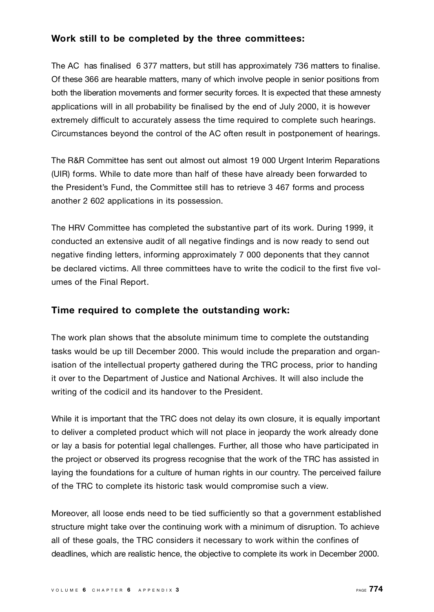### **Work still to be completed by the three committees:**

The AC has finalised 6 377 matters, but still has approximately 736 matters to finalise. Of these 366 are hearable matters, many of which involve people in senior positions from both the liberation movements and former security forces. It is expected that these amnesty applications will in all probability be finalised by the end of July 2000, it is however extremely difficult to accurately assess the time required to complete such hearings. Circumstances beyond the control of the AC often result in postponement of hearings.

The R&R Committee has sent out almost out almost 19 000 Urgent Interim Reparations (UIR) forms. While to date more than half of these have already been forwarded to the President's Fund, the Committee still has to retrieve 3 467 forms and process another 2 602 applications in its possession.

The HRV Committee has completed the substantive part of its work. During 1999, it conducted an extensive audit of all negative findings and is now ready to send out negative finding letters, informing approximately 7 000 deponents that they cannot be declared victims. All three committees have to write the codicil to the first five volumes of the Final Report.

### **Time required to complete the outstanding work:**

The work plan shows that the absolute minimum time to complete the outstanding tasks would be up till December 2000. This would include the preparation and organisation of the intellectual property gathered during the TRC process, prior to handing it over to the Department of Justice and National Archives. It will also include the writing of the codicil and its handover to the President.

While it is important that the TRC does not delay its own closure, it is equally important to deliver a completed product which will not place in jeopardy the work already done or lay a basis for potential legal challenges. Further, all those who have participated in the project or observed its progress recognise that the work of the TRC has assisted in laying the foundations for a culture of human rights in our country. The perceived failure of the TRC to complete its historic task would compromise such a view.

Moreover, all loose ends need to be tied sufficiently so that a government established structure might take over the continuing work with a minimum of disruption. To achieve all of these goals, the TRC considers it necessary to work within the confines of deadlines, which are realistic hence, the objective to complete its work in December 2000.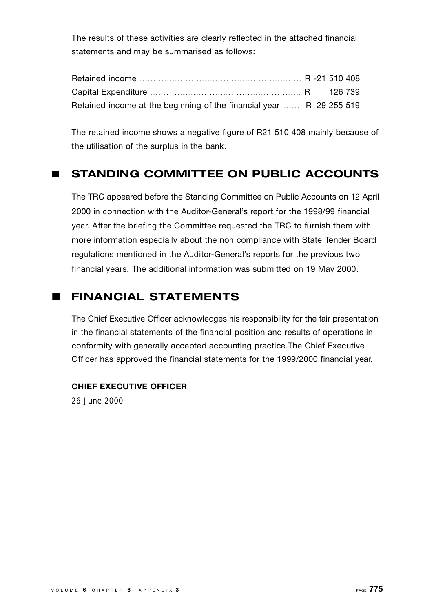The results of these activities are clearly reflected in the attached financial statements and may be summarised as follows:

| Retained income at the beginning of the financial year  R 29 255 519 |  |  |
|----------------------------------------------------------------------|--|--|

The retained income shows a negative figure of R21 510 408 mainly because of the utilisation of the surplus in the bank.

### **E** STANDING COMMITTEE ON PUBLIC ACCOUNTS

The TRC appeared before the Standing Committee on Public Accounts on 12 April 2000 in connection with the Auditor-General's report for the 1998/99 financial year. After the briefing the Committee requested the TRC to furnish them with more information especially about the non compliance with State Tender Board regulations mentioned in the Auditor-General's reports for the previous two financial years. The additional information was submitted on 19 May 2000.

### **FINANCIAL STATEMENTS**

The Chief Executive Officer acknowledges his responsibility for the fair presentation in the financial statements of the financial position and results of operations in conformity with generally accepted accounting practice.The Chief Executive Officer has approved the financial statements for the 1999/2000 financial year.

### **CHIEF EXECUTIVE OFFICER**

26 June 2000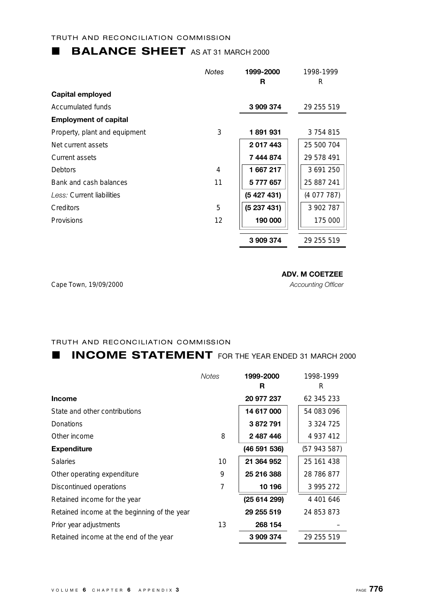### **BALANCE SHEET** AS AT 31 MARCH 2000

|                               | <b>Notes</b> | 1999-2000 | 1998-1999  |
|-------------------------------|--------------|-----------|------------|
|                               |              | R         | R          |
| Capital employed              |              |           |            |
| Accumulated funds             |              | 3909374   | 29 255 519 |
| <b>Employment of capital</b>  |              |           |            |
| Property, plant and equipment | 3            | 1891931   | 3754815    |
| Net current assets            |              | 2017443   | 25 500 704 |
| Current assets                |              | 7444874   | 29 578 491 |
| Debtors                       | 4            | 1667217   | 3 691 250  |
| Bank and cash balances        | 11           | 5 777 657 | 25 887 241 |
| Less: Current liabilities     |              | (5427431) | (4077787)  |
| Creditors                     | 5            | (5237431) | 3 902 787  |
| Provisions                    | 12           | 190 000   | 175 000    |
|                               |              | 3 909 374 | 29 255 519 |

Cape Town, 19/09/2000 *Accounting Officer*

### **ADV. M COETZEE**

### TRUTH AND RECONCILIATION COMMISSION

### **L INCOME STATEMENT** FOR THE YEAR ENDED 31 MARCH 2000

|                                              | <b>Notes</b> | 1999-2000    | 1998-1999     |
|----------------------------------------------|--------------|--------------|---------------|
|                                              |              | R            | R             |
| Income                                       |              | 20 977 237   | 62 345 233    |
| State and other contributions                |              | 14 617 000   | 54 083 096    |
| Donations                                    |              | 3872791      | 3 3 2 4 7 2 5 |
| Other income                                 | 8            | 2 487 446    | 4 9 3 7 4 1 2 |
| <b>Expenditure</b>                           |              | (46 591 536) | (57 943 587)  |
| <b>Salaries</b>                              | $10 \,$      | 21 364 952   | 25 161 438    |
| Other operating expenditure                  | 9            | 25 216 388   | 28 786 877    |
| Discontinued operations                      | 7            | 10 196       | 3 995 272     |
| Retained income for the year                 |              | (25 614 299) | 4 401 646     |
| Retained income at the beginning of the year |              | 29 255 519   | 24 853 873    |
| Prior year adjustments                       | 13           | 268 154      |               |
| Retained income at the end of the year       |              | 3 909 374    | 29 255 519    |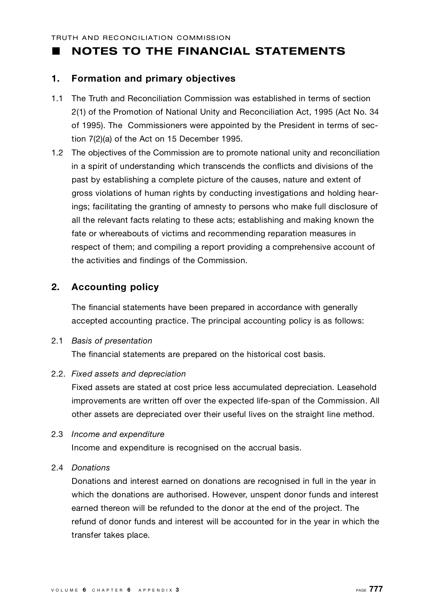### **NOTES TO THE FINANCIAL STATEMENTS**

### **1 . Formation and primary objectives**

- 1.1 The Truth and Reconciliation Commission was established in terms of section 2(1) of the Promotion of National Unity and Reconciliation Act, 1995 (Act No. 34 of 1995). The Commissioners were appointed by the President in terms of section 7(2)(a) of the Act on 15 December 1995.
- 1.2 The objectives of the Commission are to promote national unity and reconciliation in a spirit of understanding which transcends the conflicts and divisions of the past by establishing a complete picture of the causes, nature and extent of gross violations of human rights by conducting investigations and holding hearings; facilitating the granting of amnesty to persons who make full disclosure of all the relevant facts relating to these acts; establishing and making known the fate or whereabouts of victims and recommending reparation measures in respect of them; and compiling a report providing a comprehensive account of the activities and findings of the Commission.

### **2. Accounting policy**

The financial statements have been prepared in accordance with generally accepted accounting practice. The principal accounting policy is as follows:

### **2.1 Basis of presentation**

The financial statements are prepared on the historical cost basis.

### 2.2. Fixed assets and depreciation

Fixed assets are stated at cost price less accumulated depreciation. Leasehold improvements are written off over the expected life-span of the Commission. All other assets are depreciated over their useful lives on the straight line method.

2.3 *Income and expenditure* 

Income and expenditure is recognised on the accrual basis.

### 2.4 *D o n a t i o n s*

Donations and interest earned on donations are recognised in full in the year in which the donations are authorised. However, unspent donor funds and interest earned thereon will be refunded to the donor at the end of the project. The refund of donor funds and interest will be accounted for in the year in which the transfer takes place.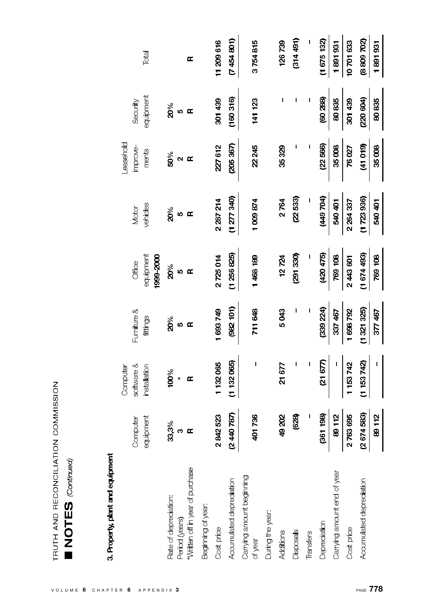| くこく<br>こくく                                          |  |
|-----------------------------------------------------|--|
| <b>ATION</b><br>AID RECOMO<br>7<br>٦<br>Ė<br>ſ<br>ŀ |  |

# 3. Property, plant and equipment

|                                      |            | Computer             |               |           |                       | Leasehold    |                |            |
|--------------------------------------|------------|----------------------|---------------|-----------|-----------------------|--------------|----------------|------------|
|                                      | Computer   | software &           | Furniture &   | Office    | Motor                 | improve-     | Security       |            |
|                                      | equipment  | installation         | fittings      | equipment | vehicles              | ments        | equipment      | Total      |
|                                      |            |                      |               | 1999-2000 |                       |              |                |            |
| Rate of depreciation:                |            | 100%                 | 20%           | 20%       | $\mathbf{z}^{\infty}$ | 50%          | $20\%$         |            |
| Period (years)                       | ೫್ಯ<br>೫   | $\ddot{\phantom{0}}$ | <sub>10</sub> | $\circ$   | $\bullet$             | $\mathbf{a}$ | $\mathfrak{g}$ |            |
| *Written off in year of purchase     |            | Œ                    | $\mathbf{r}$  | $\approx$ | $\mathbf{r}$          | $\mathbf{r}$ | $\mathbf{r}$   | œ          |
| Beginning of year                    |            |                      |               |           |                       |              |                |            |
| Cost price                           | 2842523    | 1132065              | 1 693 749     | 2725014   | 2 287 214             | 227612       | 301439         | 11 209 616 |
| Accumulated depreciation             | (2440 787) | (1 132 065)          | (982 101)     | (1256825) | (1277340)             | (205367)     | (160316)       | (7454801)  |
| Carrying amount beginning<br>of year | 401736     | I                    | 711 648       | 1468189   | 1009874               | 22245        | 141 123        | 3754815    |
| During the year:                     |            |                      |               |           |                       |              |                |            |
| Additions                            | 49 202     | 21677                | 5043          | 12724     | 2764                  | 35329        | I              | 126739     |
| Disposals                            | (628)      |                      |               | (291 330) | (22 533)              |              | I              | (314491)   |
| Transfers                            |            |                      |               |           |                       |              |                |            |
| Depreciation                         | (361 198)  | (2167)               | (339 224)     | (420 475) | (449704)              | (22566)      | (60 288)       | (1675132)  |
| Carrying amount end of year          | 89112      | I                    | 337 467       | 769 108   | <b>PAO 401</b>        | 35008        | 80835          | 1891931    |
| Cost price                           | 2763695    | 1153742              | 1698792       | 2443601   | 2 264 337             | 76027        | 301439         | 10701633   |
| Accumulated depreciation             | (2674583)  | (1153742)            | (1321325)     | (1674493) | (1723936)             | (41019)      | (220604)       | (8809702)  |
|                                      | 89112      |                      | 377 467       | 769 108   | 540 401               | 35008        | 80835          | 1891931    |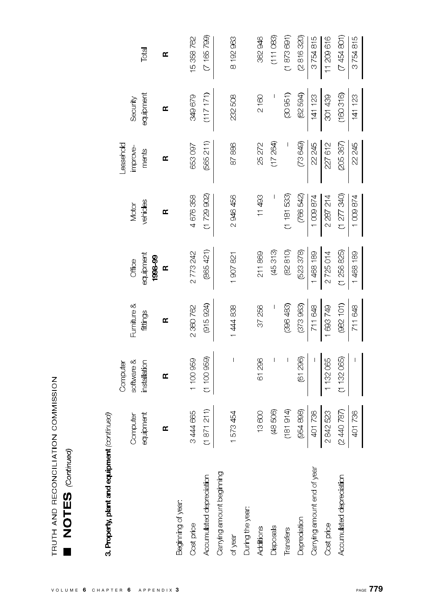# 3. Property, plant and equipment (continued)

|                             |                       | Computer                 |             |                      |           | <b>easehold</b> |           |           |
|-----------------------------|-----------------------|--------------------------|-------------|----------------------|-----------|-----------------|-----------|-----------|
|                             | Computer              | software &               | Furniture & | Office               | Motor     | improve-        | Security  |           |
|                             | <b>ipment</b><br>eani | installation             | fittings    | equipment<br>1998-99 | vehides   | ments           | equipment | Total     |
|                             | œ                     | œ                        | œ           | $\mathbf{r}$         | Œ         | Œ               | œ         | œ         |
| Beginning of year:          |                       |                          |             |                      |           |                 |           |           |
| Cost price                  | 3444 665              | 1 100 959                | 2 360 762   | 2773242              | 4676358   | 653097          | 349679    | 15358762  |
| Accumulated depreciation    | (1871211)             | (1100959)                | (915924)    | (865 421)            | (1729902) | (565211)        | (117171)  | (7165799) |
| Carrying amount beginning   |                       |                          |             |                      |           |                 |           |           |
| of year                     | 1573454               | $\overline{\phantom{a}}$ | 1444838     | 1907821              | 2946456   | 87886           | 232508    | 8192963   |
| During the year:            |                       |                          |             |                      |           |                 |           |           |
| Additions                   | 13600                 | 61 296                   | 37 256      | 211869               | 11493     | 25272           | 2160      | 362946    |
| Disposals                   | (48506)               |                          |             | (45313)              |           | (17 264)        |           | (11083)   |
| Transfers                   | (181914)              |                          | (396 483)   | (82810)              | (118153)  |                 | (30951)   | (1873691) |
| Depredation                 |                       | (61 296)                 | (373963)    | (523 378)            | (766 542) | (689)           | (62 594)  | (2816320) |
| Carrying amount end of year | (954 898)<br>401 736  |                          | 711 648     | 1468189              | 1008874   | 22 245          | 141 123   | 3754815   |
| Cost price                  | 2842523               | 1132065                  | 1693749     | 2725014              | 2 287 214 | 227612          | 301439    | 11209616  |
| Accumulated depreciation    | (2440 787)            | (1132065)                | (982 101)   | (1256825)            | (1277340) | (205367)        | (160316)  | (7454801) |
|                             | 401736                |                          | 711648      | 1468189              | 1009874   | 22 245          | 141 123   | 3754815   |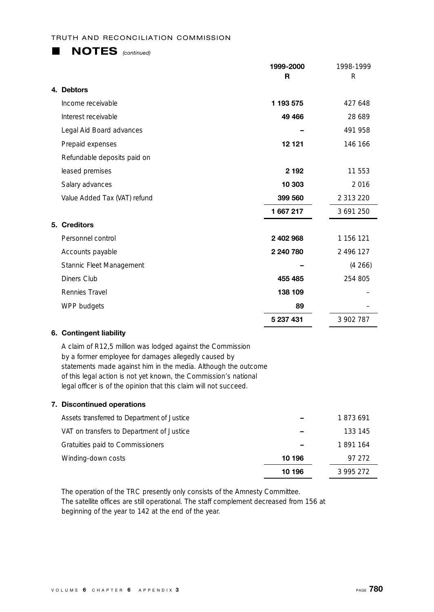### **L NOTES** *(continued)*

|                              | 1999-2000<br>R | 1998-1999<br>R |
|------------------------------|----------------|----------------|
| 4. Debtors                   |                |                |
| Income receivable            | 1 193 575      | 427 648        |
| Interest receivable          | 49 4 66        | 28 689         |
| Legal Aid Board advances     |                | 491 958        |
| Prepaid expenses             | 12 1 2 1       | 146 166        |
| Refundable deposits paid on  |                |                |
| leased premises              | 2 1 9 2        | 11 553         |
| Salary advances              | 10 303         | 2016           |
| Value Added Tax (VAT) refund | 399 560        | 2 313 220      |
|                              | 1667217        | 3 691 250      |
| 5. Creditors                 |                |                |
| Personnel control            | 2 402 968      | 1 156 121      |
| Accounts payable             | 2 240 780      | 2 496 127      |
| Stannic Fleet Management     |                | (4266)         |
| Diners Club                  | 455 485        | 254 805        |
| Rennies Travel               | 138 109        |                |
| WPP budgets                  | 89             |                |
|                              | 5 237 431      | 3 902 787      |

### **6. Contingent liability**

A claim of R12,5 million was lodged against the Commission by a former employee for damages allegedly caused by statements made against him in the media. Although the outcome of this legal action is not yet known, the Commission's national legal officer is of the opinion that this claim will not succeed.

### **7. Discontinued operations**

| Assets transferred to Department of Justice |        | 1873691 |
|---------------------------------------------|--------|---------|
| VAT on transfers to Department of Justice   |        | 133 145 |
| Gratuities paid to Commissioners            |        | 1891164 |
| Winding-down costs                          | 10 196 | 97 272  |
|                                             | 10 196 | 3995272 |

The operation of the TRC presently only consists of the Amnesty Committee. The satellite offices are still operational. The staff complement decreased from 156 at beginning of the year to 142 at the end of the year.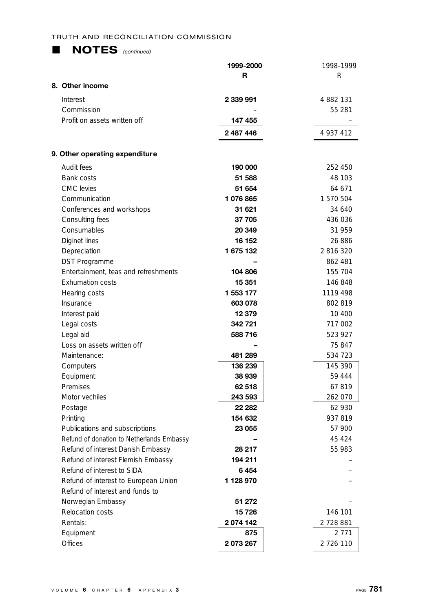| <b>NOTES</b> (continued) |  |
|--------------------------|--|
|--------------------------|--|

|                                           | 1999-2000<br>R | 1998-1999<br>R |
|-------------------------------------------|----------------|----------------|
| 8. Other income                           |                |                |
| Interest                                  | 2 339 991      | 4 882 131      |
| Commission                                |                | 55 281         |
| Profit on assets written off              | 147 455        |                |
|                                           | 2 487 446      | 4 937 412      |
| 9. Other operating expenditure            |                |                |
| Audit fees                                | 190 000        | 252 450        |
| Bank costs                                | 51 588         | 48 103         |
| <b>CMC</b> levies                         | 51 654         | 64 671         |
| Communication                             | 1076865        | 1 570 504      |
| Conferences and workshops                 | 31 621         | 34 640         |
| Consulting fees                           | 37 705         | 436 036        |
| Consumables                               | 20 349         | 31 959         |
| Diginet lines                             | 16 152         | 26 886         |
| Depreciation                              | 1675132        | 2 816 320      |
| <b>DST Programme</b>                      |                | 862 481        |
| Entertainment, teas and refreshments      | 104 806        | 155 704        |
| <b>Exhumation costs</b>                   | 15 351         | 146 848        |
| Hearing costs                             | 1 553 177      | 1119 498       |
| Insurance                                 | 603 078        | 802 819        |
| Interest paid                             | 12 379         | 10 400         |
| Legal costs                               | 342 721        | 717 002        |
| Legal aid                                 | 588716         | 523 927        |
| Loss on assets written off                |                | 75 847         |
| Maintenance:                              | 481 289        | 534 723        |
| Computers                                 | 136 239        | 145 390        |
| Equipment                                 | 38 939         | 59 444         |
| Premises                                  | 62 518         | 67819          |
| Motor vechiles                            | 243 593        | 262 070        |
| Postage                                   | 22 282         | 62 930         |
| Printing                                  | 154 632        | 937819         |
| Publications and subscriptions            | 23 055         | 57 900         |
| Refund of donation to Netherlands Embassy |                | 45 4 24        |
| Refund of interest Danish Embassy         | 28 217         | 55 983         |
| Refund of interest Flemish Embassy        | 194 211        |                |
| Refund of interest to SIDA                | 6454           |                |
| Refund of interest to European Union      | 1 128 970      |                |
| Refund of interest and funds to           |                |                |
| Norwegian Embassy                         | 51 272         |                |
| Relocation costs                          | 15726          | 146 101        |
| Rentals:                                  | 2074 142       | 2 728 881      |
| Equipment                                 | 875            | 2 771          |
| <b>Offices</b>                            | 2 073 267      | 2 726 110      |
|                                           |                |                |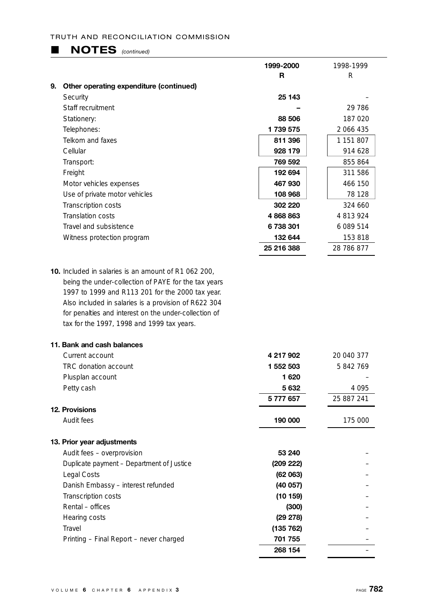### **E NOTES** *(continued)*

|    |                                                             | 1999-2000  | 1998-1999  |
|----|-------------------------------------------------------------|------------|------------|
|    |                                                             | R.         | R          |
| 9. | Other operating expenditure (continued)                     |            |            |
|    | Security                                                    | 25 143     |            |
|    | Staff recruitment                                           |            | 29 786     |
|    | Stationery:                                                 | 88 506     | 187 020    |
|    | Telephones:                                                 | 1739575    | 2 066 435  |
|    | Telkom and faxes                                            | 811 396    | 1 151 807  |
|    | Cellular                                                    | 928 179    | 914 628    |
|    | Transport:                                                  | 769 592    | 855 864    |
|    | Freight                                                     | 192 694    | 311 586    |
|    | Motor vehicles expenses                                     | 467 930    | 466 150    |
|    | Use of private motor vehicles                               | 108 968    | 78 128     |
|    | Transcription costs                                         | 302 220    | 324 660    |
|    | <b>Translation costs</b>                                    | 4868863    | 4813924    |
|    | Travel and subsistence                                      | 6738301    | 6 089 514  |
|    | Witness protection program                                  | 132 644    | 153 818    |
|    |                                                             | 25 216 388 | 28 786 877 |
|    | <b>10.</b> Included in salaries is an amount of R1 062 200. |            |            |
|    | being the under-collection of PAYE for the tax years        |            |            |
|    | 1997 to 1999 and R113 201 for the 2000 tax year.            |            |            |
|    | Also included in salaries is a provision of R622 304        |            |            |
|    | for penalties and interest on the under-collection of       |            |            |
|    | tax for the 1997, 1998 and 1999 tax years.                  |            |            |
|    | 11. Bank and cash balances                                  |            |            |
|    | Current account                                             | 4 217 QN2  | 20 010 377 |

| Current account                           | 4 217 902 | 20 040 377 |
|-------------------------------------------|-----------|------------|
| TRC donation account                      | 1 552 503 | 5842769    |
| Plusplan account                          | 1620      |            |
| Petty cash                                | 5 632     | 4 0 9 5    |
|                                           | 5777657   | 25 887 241 |
| <b>12. Provisions</b>                     |           |            |
| Audit fees                                | 190 000   | 175 000    |
| 13. Prior year adjustments                |           |            |
| Audit fees - overprovision                | 53 240    |            |
| Duplicate payment - Department of Justice | (209 222) |            |
| Legal Costs                               | (62063)   |            |
| Danish Embassy – interest refunded        | (40057)   |            |
| Transcription costs                       | (10159)   |            |
| Rental - offices                          | (300)     |            |
| Hearing costs                             | (29 278)  |            |
| Travel                                    | (135 762) |            |
| Printing - Final Report - never charged   | 701 755   |            |
|                                           | 268 154   |            |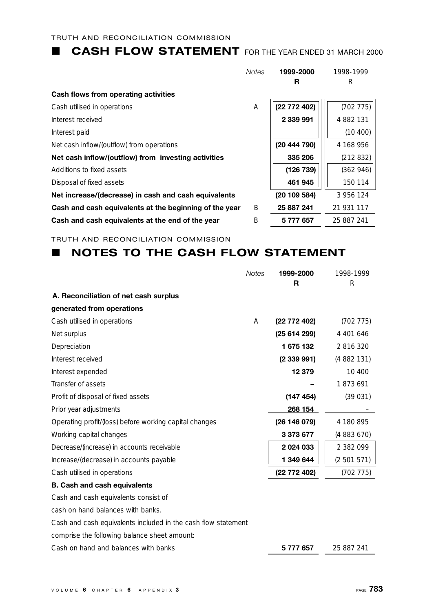### **L CASH FLOW STATEMENT** FOR THE YEAR ENDED 31 MARCH 2000

|                                                        | <b>Notes</b> | 1999-2000    | 1998-1999  |
|--------------------------------------------------------|--------------|--------------|------------|
|                                                        |              | R            | R          |
| Cash flows from operating activities                   |              |              |            |
| Cash utilised in operations                            | A            | (22 772 402) | (702775)   |
| Interest received                                      |              | 2 339 991    | 4 882 131  |
| Interest paid                                          |              |              | (10 400)   |
| Net cash inflow/(outflow) from operations              |              | (20 444 790) | 4 168 956  |
| Net cash inflow/(outflow) from investing activities    |              | 335 206      | (212 832)  |
| Additions to fixed assets                              |              | (126739)     | (362946)   |
| Disposal of fixed assets                               |              | 461 945      | 150 114    |
| Net increase/(decrease) in cash and cash equivalents   |              | (20 109 584) | 3 956 124  |
| Cash and cash equivalents at the beginning of the year | B            | 25 887 241   | 21 931 117 |
| Cash and cash equivalents at the end of the year       | B            | 5 777 657    | 25 887 241 |

TRUTH AND RECONCILIATION COMMISSION

### **NOTES TO THE CASH FLOW STATEMENT**

|                                                               | <b>Notes</b> | 1999-2000    | 1998-1999   |
|---------------------------------------------------------------|--------------|--------------|-------------|
|                                                               |              | R            | R           |
| A. Reconciliation of net cash surplus                         |              |              |             |
| generated from operations                                     |              |              |             |
| Cash utilised in operations                                   | A            | (22 772 402) | (702775)    |
| Net surplus                                                   |              | (25614299)   | 4 401 646   |
| Depreciation                                                  |              | 1 675 132    | 2816320     |
| Interest received                                             |              | (2339991)    | (4882131)   |
| Interest expended                                             |              | 12 379       | 10 400      |
| Transfer of assets                                            |              |              | 1873691     |
| Profit of disposal of fixed assets                            |              | (147 454)    | (39031)     |
| Prior year adjustments                                        |              | 268 154      |             |
| Operating profit/(loss) before working capital changes        |              | (26 146 079) | 4 180 895   |
| Working capital changes                                       |              | 3 373 677    | (4883670)   |
| Decrease/(increase) in accounts receivable                    |              | 2 0 24 0 33  | 2 382 099   |
| Increase/(decrease) in accounts payable                       |              | 1 349 644    | (2 501 571) |
| Cash utilised in operations                                   |              | (22 772 402) | (702 775)   |
| <b>B. Cash and cash equivalents</b>                           |              |              |             |
| Cash and cash equivalents consist of                          |              |              |             |
| cash on hand balances with banks.                             |              |              |             |
| Cash and cash equivalents included in the cash flow statement |              |              |             |
| comprise the following balance sheet amount:                  |              |              |             |
| Cash on hand and balances with banks                          |              | 5777657      | 25 887 241  |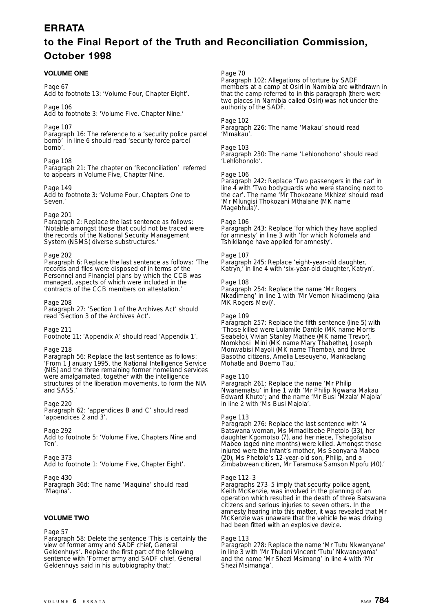### **E R R ATA**

### **to the Final Report of the Truth and Reconciliation Commission, October 1998**

### **VOLUME ONE**

### Page 67

Add to footnote 13: 'Volume Four, Chapter Eight'.

Page 106 Add to footnote 3: 'Volume Five, Chapter Nine.'

Page 107 Paragraph 16: The reference to a 'security police parcel bomb' in line 6 should read 'security force parcel bomb'.

### Page 108

Paragraph 21: The chapter on 'Reconciliation' referred to appears in Volume Five, Chapter Nine.

Page 149 Add to footnote 3: 'Volume Four, Chapters One to Seven.'

### Page 201

Paragraph 2: Replace the last sentence as follows: 'Notable amongst those that could not be traced were the records of the National Security Management System (NSMS) diverse substructures.'

### Page 202

Paragraph 6: Replace the last sentence as follows: 'The records and files were disposed of in terms of the Personnel and Financial plans by which the CCB was managed, aspects of which were included in the contracts of the CCB members on attestation.'

Page 208

Paragraph 27: 'Section 1 of the Archives Act' should read 'Section 3 of the Archives Act'.

Page 211

Footnote 11: 'Appendix A' should read 'Appendix 1'.

### Page 218

Paragraph 56: Replace the last sentence as follows: 'From 1 January 1995, the National Intelligence Service (NIS) and the three remaining former homeland services were amalgamated, together with the intelligence structures of the liberation movements, to form the NIA and SASS.'

Page 220 Paragraph 62: 'appendices B and C' should read 'appendices 2 and 3'.

Page 292 Add to footnote 5: 'Volume Five, Chapters Nine and Ten'.

### Page 373

Add to footnote 1: 'Volume Five, Chapter Eight'.

Page 430

Paragraph 36d: The name 'Maquina' should read 'Maqina'.

### **VOLUME TWO**

### Page 57

Paragraph 58: Delete the sentence 'This is certainly the view of former army and SADF chief, General Geldenhuys'. Replace the first part of the following sentence with 'Former army and SADF chief, General Geldenhuys said in his autobiography that:'

Page 70

Paragraph 102: Allegations of torture by SADF members at a camp at Osiri in Namibia are withdrawn in that the camp referred to in this paragraph (there were two places in Namibia called Osiri) was not under the authority of the SADF.

### Page 102

Paragraph 226: The name 'Makau' should read 'Mmakau'.

### Page 103

Paragraph 230: The name 'Lehlonohono' should read 'Lehlohonolo'.

### Page 106

Paragraph 242: Replace 'Two passengers in the car' in line 4 with 'Two bodyguards who were standing next to the car'. The name 'Mr Thokozane Mkhize' should read 'Mr Mlungisi Thokozani Mthalane (MK name Magebhula<sup>y</sup>.

### Page 106

Paragraph 243: Replace 'for which they have applied for amnesty' in line 3 with 'for which Nofomela and Tshikilange have applied for amnesty'.

### Page 107

Paragraph 245: Replace 'eight-year-old daughter, Katryn,' in line 4 with 'six-year-old daughter, Katryn'.

### Page 108

Paragraph 254: Replace the name 'Mr Rogers Nkadimeng' in line 1 with 'Mr Vernon Nkadimeng (aka MK Rogers Mevi)'.

### Page 109

Paragraph 257: Replace the fifth sentence (line 5) with 'Those killed were Lulamile Dantile (MK name Morris Seabelo), Vivian Stanley Mathee (MK name Trevor), Nomkhosi Mini (MK name Mary Thabethe), Joseph Monwabisi Mayoli (MK name Themba), and three Basotho citizens, Amelia Leseuyeho, Mankaelang Mohatle and Boemo Tau.'

### Page 110

Paragraph 261: Replace the name 'Mr Philip Nwanematsu' in line 1 with 'Mr Philip Ngwana Makau Edward Khuto'; and the name 'Mr Busi 'Mzala' Majola' in line 2 with 'Ms Busi Majola'.

### Page 113

Paragraph 276: Replace the last sentence with 'A Batswana woman, Ms Mmaditsebe Phetolo (33), her daughter Kgomotso (7), and her niece, Tshegofatso Mabeo (aged nine months) were killed. Amongst those injured were the infant's mother, Ms Seonyana Mabeo (20), Ms Phetolo's 12-year-old son, Philip, and a Zimbabwean citizen, Mr Taramuka Samson Mpofu (40).'

### Page 112–3

Paragraphs 273–5 imply that security police agent, Keith McKenzie, was involved in the planning of an operation which resulted in the death of three Batswana citizens and serious injuries to seven others. In the amnesty hearing into this matter, it was revealed that Mr McKenzie was unaware that the vehicle he was driving had been fitted with an explosive device.

### Page 113

Paragraph 278: Replace the name 'Mr Tutu Nkwanyane' in line 3 with 'Mr Thulani Vincent 'Tutu' Nkwanayama' and the name 'Mr Shezi Msimang' in line 4 with 'Mr Shezi Msimanga'.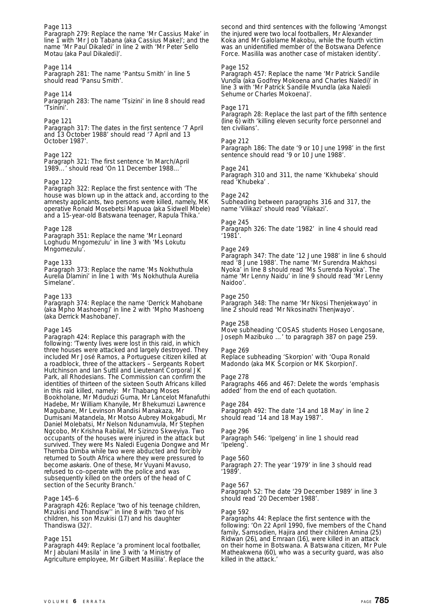### Page 113

Paragraph 279: Replace the name 'Mr Cassius Make' in line 1 with 'Mr Job Tabana (aka Cassius Make)'; and the name 'Mr Paul Dikaledi' in line 2 with 'Mr Peter Sello Motau (aka Paul Dikaledi)'.

### Page 114

Paragraph 281: The name 'Pantsu Smith' in line 5 should read 'Pansu Smith'.

### Page 114

Paragraph 283: The name 'Tsizini' in line 8 should read 'Tsinini'.

### Page 121

Paragraph 317: The dates in the first sentence '7 April and 13 October 1988' should read '7 April and 13 October 1987'.

### Page 122

Paragraph 321: The first sentence 'In March/April 1989…' should read 'On 11 December 1988…'

### Page 122

Paragraph 322: Replace the first sentence with 'The house was blown up in the attack and, according to the amnesty applicants, two persons were killed, namely, MK operative Ronald Mosebetsi Mapuoa (aka Sidwell Mbele) and a 15-year-old Batswana teenager, Rapula Thika.'

### Page 128

Paragraph 351: Replace the name 'Mr Leonard Loghudu Mngomezulu' in line 3 with 'Ms Lokutu Mngomezulu'.

### Page 133

Paragraph 373: Replace the name 'Ms Nokhuthula Aurelia Dlamini' in line 1 with 'Ms Nokhuthula Aurelia Simelane'.

### Page 133

Paragraph 374: Replace the name 'Derrick Mahobane (aka Mpho Mashoeng)' in line 2 with 'Mpho Mashoeng (aka Derrick Mashobane)'.

### Page 145

Paragraph 424: Replace this paragraph with the following: 'Twenty lives were lost in this raid, in which three houses were attacked and largely destroyed. They included Mr José Ramos, a Portuguese citizen killed at a roadblock, three of the attackers – Sergeants Robert Hutchinson and Ian Suttil and Lieutenant Corporal JK Park, all Rhodesians. The Commission can confirm the identities of thirteen of the sixteen South Africans killed in this raid killed, namely: Mr Thabang Moses Bookholane, Mr Mduduzi Guma, Mr Lancelot Mfanafuthi Hadebe, Mr William Khanyile, Mr Bhekumuzi Lawrence Magubane, Mr Levinson Mandisi Manakaza, Mr Dumisani Matandela, Mr Motso Aubrey Mokgabudi, Mr Daniel Molebatsi, Mr Nelson Ndunamvula, Mr Stephen Ngcobo, Mr Krishna Rabilal, Mr Sizinzo Skweyiya. Two occupants of the houses were injured in the attack but survived. They were Ms Naledi Eugenia Dongwe and Mr Themba Dimba while two were abducted and forcibly returned to South Africa where they were pressured to become *askaris*. One of these, Mr Vuyani Mavuso, refused to co-operate with the police and was subsequently killed on the orders of the head of C section of the Security Branch.'

### Page 145–6

Paragraph 426: Replace 'two of his teenage children, Mzukisi and Thandisw'' in line 8 with 'two of his children, his son Mzukisi (17) and his daughter Thandiswa (32)'.

### **Page 151**

Paragraph 449: Replace 'a prominent local footballer, Mr Jabulani Masila' in line 3 with 'a Ministry of Agriculture employee, Mr Gilbert Masilila'. Replace the second and third sentences with the following 'Amongst the injured were two local footballers, Mr Alexander Koka and Mr Galolame Makobu, while the fourth victim was an unidentified member of the Botswana Defence Force. Masilila was another case of mistaken identity'.

### Page 152

Paragraph 457: Replace the name 'Mr Patrick Sandile Vundla (aka Godfrey Mokoena and Charles Naledi)' in line 3 with 'Mr Patrick Sandile Mvundla (aka Naledi Sehume or Charles Mokoena)'.

### Page 171

Paragraph 28: Replace the last part of the fifth sentence (line 6) with 'killing eleven security force personnel and ten civilians'.

### Page 212

Paragraph 186: The date '9 or 10 June 1998' in the first sentence should read '9 or 10 June 1988'.

### Page 241

Paragraph 310 and 311, the name 'Kkhubeka' should read 'Khubeka' .

### Page 242

Subheading between paragraphs 316 and 317, the name 'Vilikazi' should read 'Vilakazi'.

### Page 245

Paragraph 326: The date '1982' in line 4 should read '1981'.

### Page 249

Paragraph 347: The date '12 June 1988' in line 6 should read '8 June 1988'. The name 'Mr Surendra Makhosi Nyoka' in line 8 should read 'Ms Surenda Nyoka'. The name 'Mr Lenny Naidu' in line 9 should read 'Mr Lenny Naidoo'.

### Page 250

Paragraph 348: The name 'Mr Nkosi Thenjekwayo' in line 2 should read 'Mr Nkosinathi Thenjwayo'.

### Page 258

Move subheading 'COSAS students Hoseo Lengosane, Joseph Mazibuko …' to paragraph 387 on page 259.

### Page 269

Replace subheading 'Skorpion' with 'Oupa Ronald Madondo (aka MK Scorpion or MK Skorpion)'.

### Page 278

Paragraphs 466 and 467: Delete the words 'emphasis added' from the end of each quotation.

Page 284 Paragraph 492: The date '14 and 18 May' in line 2 should read '14 and 18 May 1987'.

### Page 296 Paragraph 546: 'Ipelgeng' in line 1 should read 'Ipeleng'.

### Page 560

Paragraph 27: The year '1979' in line 3 should read '1989'.

### Page 567

Paragraph 52: The date '29 December 1989' in line 3 should read '20 December 1988'.

### Page 592

Paragraphs 44: Replace the first sentence with the following: 'On 22 April 1990, five members of the Chand family, Samsodien, Hajira and their children Amina (25) Ridwan (26), and Emraan (16), were killed in an attack on their home in Botswana. A Batswana citizen, Mr Pule Matheakwena (60), who was a security guard, was also killed in the attack.'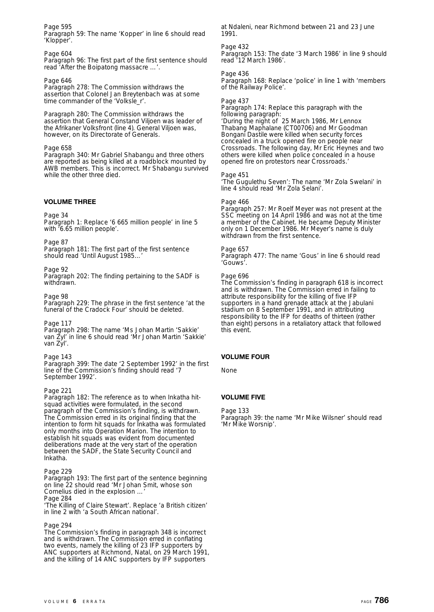Page 595

Paragraph 59: The name 'Kopper' in line 6 should read 'Klopper'.

### Page 604

Paragraph 96: The first part of the first sentence should read 'After the Boipatong massacre …'.

### Page 646

Paragraph 278: The Commission withdraws the assertion that Colonel Jan Breytenbach was at some time commander of the 'Volksle\_r'.

Paragraph 280: The Commission withdraws the assertion that General Constand Viljoen was leader of the Afrikaner Volksfront (line 4). General Viljoen was, however, on its Directorate of Generals.

### Page 658

Paragraph 340: Mr Gabriel Shabangu and three others are reported as being killed at a roadblock mounted by AWB members. This is incorrect. Mr Shabangu survived while the other three died.

### **VOLUME THREE**

Page 34

Paragraph 1: Replace '6 665 million people' in line 5 with '6.65 million people'.

Page 87

Paragraph 181: The first part of the first sentence should read 'Until August 1985...

### Page 92

Paragraph 202: The finding pertaining to the SADF is withdrawn.

Page 98

Paragraph 229: The phrase in the first sentence 'at the funeral of the Cradock Four' should be deleted.

Page 117 Paragraph 298: The name 'Ms Johan Martin 'Sakkie' van Žyl' in line 6 should read 'Mr Johan Martin 'Sakkie' van Zyl'.

### Page 143

Paragraph 399: The date '2 September 1992' in the first line of the Commission's finding should read '7 September 1992'.

### Page 221

Paragraph 182: The reference as to when Inkatha hitsquad activities were formulated, in the second paragraph of the Commission's finding, is withdrawn. The Commission erred in its original finding that the intention to form hit squads for Inkatha was formulated only months into Operation Marion. The intention to establish hit squads was evident from documented deliberations made at the very start of the operation between the SADF, the State Security Council and Inkatha.

### Page 229

Paragraph 193: The first part of the sentence beginning on line 22 should read 'Mr Johan Smit, whose son Cornelius died in the explosion …' Page 284

'The Killing of Claire Stewart'. Replace 'a British citizen' in line 2 with 'a South African national'.

### Page 294

The Commission's finding in paragraph 348 is incorrect and is withdrawn. The Commission erred in conflating two events, namely the killing of 23 IFP supporters by ANC supporters at Richmond, Natal, on 29 March 1991, and the killing of 14 ANC supporters by IFP supporters

at Ndaleni, near Richmond between 21 and 23 June 1991.

### Page 432

Paragraph 153: The date '3 March 1986' in line 9 should read '12 March 1986'.

Page 436

Paragraph 168: Replace 'police' in line 1 with 'members of the Railway Police'.

### Page 437

Paragraph 174: Replace this paragraph with the following paragraph:

'During the night of 25 March 1986, Mr Lennox Thabang Maphalane (CT00706) and Mr Goodman Bongani Dastile were killed when security forces concealed in a truck opened fire on people near Crossroads. The following day, Mr Eric Heynes and two others were killed when police concealed in a house opened fire on protestors near Crossroads.'

### Page 451

'The Gugulethu Seven': The name 'Mr Zola Swelani' in line 4 should read 'Mr Zola Selani'.

### Page 466

Paragraph 257: Mr Roelf Meyer was not present at the SSC meeting on 14 April 1986 and was not at the time a member of the Cabinet. He became Deputy Minister only on 1 December 1986. Mr Meyer's name is duly withdrawn from the first sentence.

### Page 657

Paragraph 477: The name 'Gous' in line 6 should read 'Gouws'.

### Page 696

The Commission's finding in paragraph 618 is incorrect and is withdrawn. The Commission erred in failing to attribute responsibility for the killing of five IFP supporters in a hand grenade attack at the Jabulani stadium on 8 September 1991, and in attributing responsibility to the IFP for deaths of thirteen (rather than eight) persons in a retaliatory attack that followed this event.

### **VOLUME FOUR**

None

### **VOLUME FIVE**

Page 133

Paragraph 39: the name 'Mr Mike Wilsner' should read 'Mr Mike Worsnip'.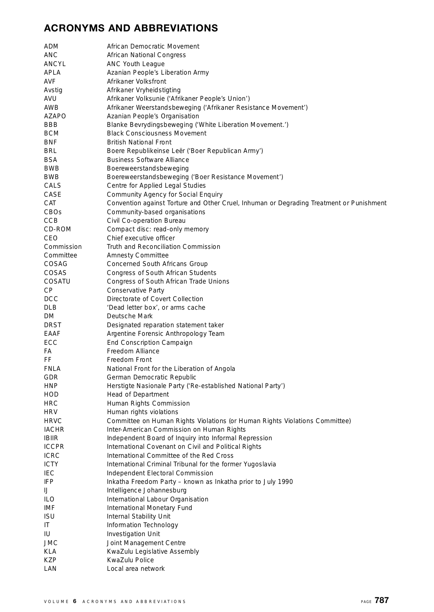### **ACRONYMS AND ABBREVIATIONS**

| ADM          | African Democratic Movement                                                              |
|--------------|------------------------------------------------------------------------------------------|
| ANC          | African National Congress                                                                |
| ANCYL        | ANC Youth League                                                                         |
| APLA         | Azanian People's Liberation Army                                                         |
| AVF          | Afrikaner Volksfront                                                                     |
| Avstig       | Afrikaner Vryheidstigting                                                                |
| AVU          | Afrikaner Volksunie ('Afrikaner People's Union')                                         |
| AWB          | Afrikaner Weerstandsbeweging ('Afrikaner Resistance Movement')                           |
| AZAPO        | Azanian People's Organisation                                                            |
| BBB          | Blanke Bevrydingsbeweging ('White Liberation Movement.')                                 |
| BCM          | <b>Black Consciousness Movement</b>                                                      |
| BNF          | <b>British National Front</b>                                                            |
| BRL          | Boere Republikeinse Leër ('Boer Republican Army')                                        |
| BSA          | <b>Business Software Alliance</b>                                                        |
| BWB          | Boereweerstandsbeweging                                                                  |
| BWB          | Boereweerstandsbeweging ('Boer Resistance Movement')                                     |
| CALS         | Centre for Applied Legal Studies                                                         |
| CASE         | Community Agency for Social Enquiry                                                      |
| CAT          | Convention against Torture and Other Cruel, Inhuman or Degrading Treatment or Punishment |
| CBOs         | Community-based organisations                                                            |
| CCB          | Civil Co-operation Bureau                                                                |
| CD-ROM       | Compact disc: read-only memory                                                           |
| CEO          | Chief executive officer                                                                  |
| Commission   | Truth and Reconciliation Commission                                                      |
| Committee    | <b>Amnesty Committee</b>                                                                 |
| COSAG        | Concerned South Africans Group                                                           |
| COSAS        | Congress of South African Students                                                       |
| COSATU       | Congress of South African Trade Unions                                                   |
| СP           | Conservative Party                                                                       |
| <b>DCC</b>   | Directorate of Covert Collection                                                         |
| DLB          | 'Dead letter box', or arms cache                                                         |
| DM           | Deutsche Mark                                                                            |
| DRST         | Designated reparation statement taker                                                    |
| EAAF         | Argentine Forensic Anthropology Team                                                     |
| ECC          | End Conscription Campaign                                                                |
| FA           | Freedom Alliance                                                                         |
| FF           | Freedom Front                                                                            |
| FNLA         | National Front for the Liberation of Angola                                              |
| GDR          | German Democratic Republic                                                               |
| HNP          |                                                                                          |
| HOD          | Herstigte Nasionale Party ('Re-established National Party')<br>Head of Department        |
| HRC          | Human Rights Commission                                                                  |
| HRV          | Human rights violations                                                                  |
| <b>HRVC</b>  | Committee on Human Rights Violations (or Human Rights Violations Committee)              |
| <b>IACHR</b> | Inter-American Commission on Human Rights                                                |
| <b>IBIIR</b> | Independent Board of Inquiry into Informal Repression                                    |
| <b>ICCPR</b> | International Covenant on Civil and Political Rights                                     |
| <b>ICRC</b>  | International Committee of the Red Cross                                                 |
| <b>ICTY</b>  | International Criminal Tribunal for the former Yugoslavia                                |
| IEC          | Independent Electoral Commission                                                         |
| IFP          | Inkatha Freedom Party - known as Inkatha prior to July 1990                              |
| IJ           | Intelligence Johannesburg                                                                |
| ILO          | International Labour Organisation                                                        |
| IMF          | International Monetary Fund                                                              |
| ISU          | Internal Stability Unit                                                                  |
| IT.          | Information Technology                                                                   |
| IU           | Investigation Unit                                                                       |
| JMC          | Joint Management Centre                                                                  |
| KLA          | KwaZulu Legislative Assembly                                                             |
| KZP          | KwaZulu Police                                                                           |
| LAN          | Local area network                                                                       |
|              |                                                                                          |